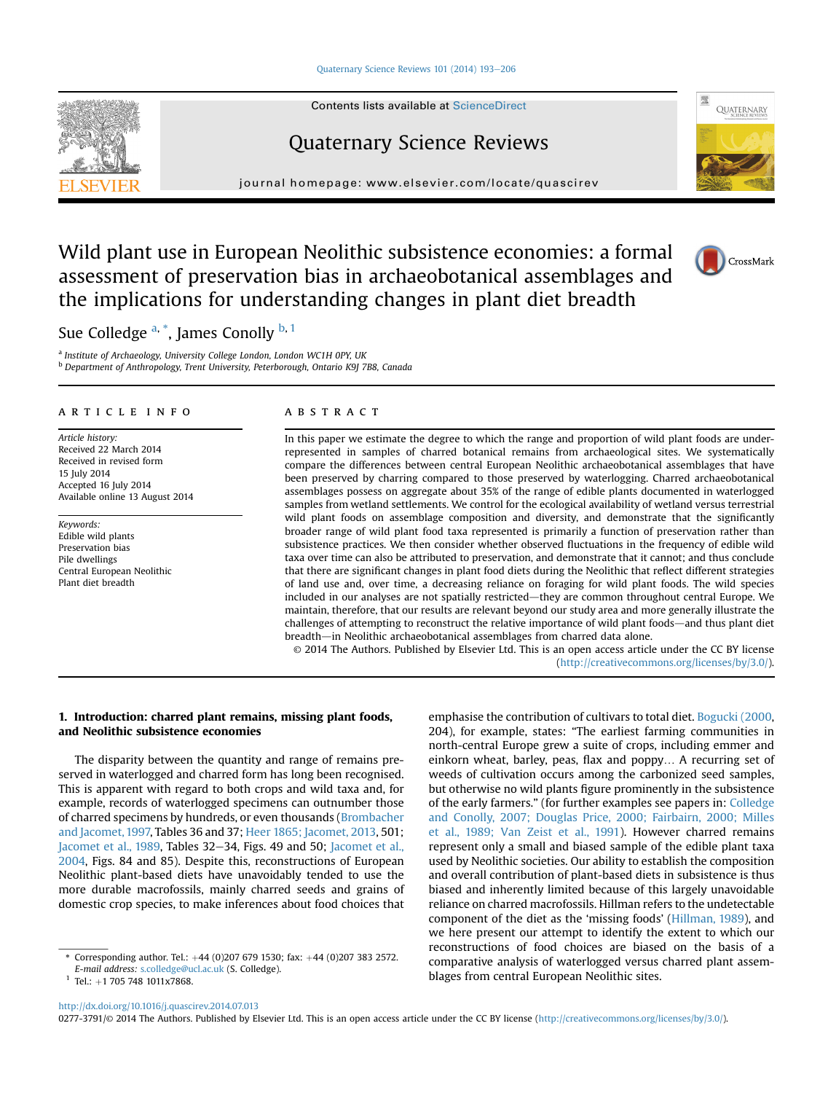## [Quaternary Science Reviews 101 \(2014\) 193](http://dx.doi.org/10.1016/j.quascirev.2014.07.013)-[206](http://dx.doi.org/10.1016/j.quascirev.2014.07.013)

Contents lists available at ScienceDirect

# Quaternary Science Reviews

journal homepage: [www.elsevier.com/locate/quascirev](http://www.elsevier.com/locate/quascirev)



CrossMark

# Wild plant use in European Neolithic subsistence economies: a formal assessment of preservation bias in archaeobotanical assemblages and the implications for understanding changes in plant diet breadth

# Sue Colledge <sup>a, \*</sup>, James Conolly <sup>b, 1</sup>

a Institute of Archaeology, University College London, London WC1H 0PY, UK <sup>b</sup> Department of Anthropology, Trent University, Peterborough, Ontario K9J 7B8, Canada

#### article info

Article history: Received 22 March 2014 Received in revised form 15 July 2014 Accepted 16 July 2014 Available online 13 August 2014

Keywords: Edible wild plants Preservation bias Pile dwellings Central European Neolithic Plant diet breadth

## ABSTRACT

In this paper we estimate the degree to which the range and proportion of wild plant foods are underrepresented in samples of charred botanical remains from archaeological sites. We systematically compare the differences between central European Neolithic archaeobotanical assemblages that have been preserved by charring compared to those preserved by waterlogging. Charred archaeobotanical assemblages possess on aggregate about 35% of the range of edible plants documented in waterlogged samples from wetland settlements. We control for the ecological availability of wetland versus terrestrial wild plant foods on assemblage composition and diversity, and demonstrate that the significantly broader range of wild plant food taxa represented is primarily a function of preservation rather than subsistence practices. We then consider whether observed fluctuations in the frequency of edible wild taxa over time can also be attributed to preservation, and demonstrate that it cannot; and thus conclude that there are significant changes in plant food diets during the Neolithic that reflect different strategies of land use and, over time, a decreasing reliance on foraging for wild plant foods. The wild species included in our analyses are not spatially restricted—they are common throughout central Europe. We maintain, therefore, that our results are relevant beyond our study area and more generally illustrate the challenges of attempting to reconstruct the relative importance of wild plant foods—and thus plant diet breadth-in Neolithic archaeobotanical assemblages from charred data alone.

© 2014 The Authors. Published by Elsevier Ltd. This is an open access article under the CC BY license [\(http://creativecommons.org/licenses/by/3.0/](http://creativecommons.org/licenses/by/3.0/)).

## 1. Introduction: charred plant remains, missing plant foods, and Neolithic subsistence economies

The disparity between the quantity and range of remains preserved in waterlogged and charred form has long been recognised. This is apparent with regard to both crops and wild taxa and, for example, records of waterlogged specimens can outnumber those of charred specimens by hundreds, or even thousands ([Brombacher](#page-11-0) [and Jacomet, 1997,](#page-11-0) Tables 36 and 37; [Heer 1865; Jacomet, 2013](#page-11-0), 501; [Jacomet et al., 1989](#page-11-0), Tables 32-34, Figs. 49 and 50; [Jacomet et al.,](#page-12-0) [2004,](#page-12-0) Figs. 84 and 85). Despite this, reconstructions of European Neolithic plant-based diets have unavoidably tended to use the more durable macrofossils, mainly charred seeds and grains of domestic crop species, to make inferences about food choices that

204), for example, states: "The earliest farming communities in north-central Europe grew a suite of crops, including emmer and einkorn wheat, barley, peas, flax and poppy… A recurring set of weeds of cultivation occurs among the carbonized seed samples, but otherwise no wild plants figure prominently in the subsistence of the early farmers." (for further examples see papers in: [Colledge](#page-11-0) [and Conolly, 2007; Douglas Price, 2000; Fairbairn, 2000; Milles](#page-11-0) [et al., 1989; Van Zeist et al., 1991](#page-11-0)). However charred remains represent only a small and biased sample of the edible plant taxa used by Neolithic societies. Our ability to establish the composition and overall contribution of plant-based diets in subsistence is thus biased and inherently limited because of this largely unavoidable reliance on charred macrofossils. Hillman refers to the undetectable component of the diet as the 'missing foods' ([Hillman, 1989\)](#page-11-0), and we here present our attempt to identify the extent to which our reconstructions of food choices are biased on the basis of a comparative analysis of waterlogged versus charred plant assemblages from central European Neolithic sites.

emphasise the contribution of cultivars to total diet. [Bogucki \(2000,](#page-11-0)

<http://dx.doi.org/10.1016/j.quascirev.2014.07.013>

0277-3791/© 2014 The Authors. Published by Elsevier Ltd. This is an open access article under the CC BY license [\(http://creativecommons.org/licenses/by/3.0/](http://creativecommons.org/licenses/by/3.0/)).



<sup>\*</sup> Corresponding author. Tel.:  $+44$  (0)207 679 1530; fax:  $+44$  (0)207 383 2572.

E-mail address: [s.colledge@ucl.ac.uk](mailto:s.colledge@ucl.ac.uk) (S. Colledge).

 $1$  Tel.: +1 705 748 1011x7868.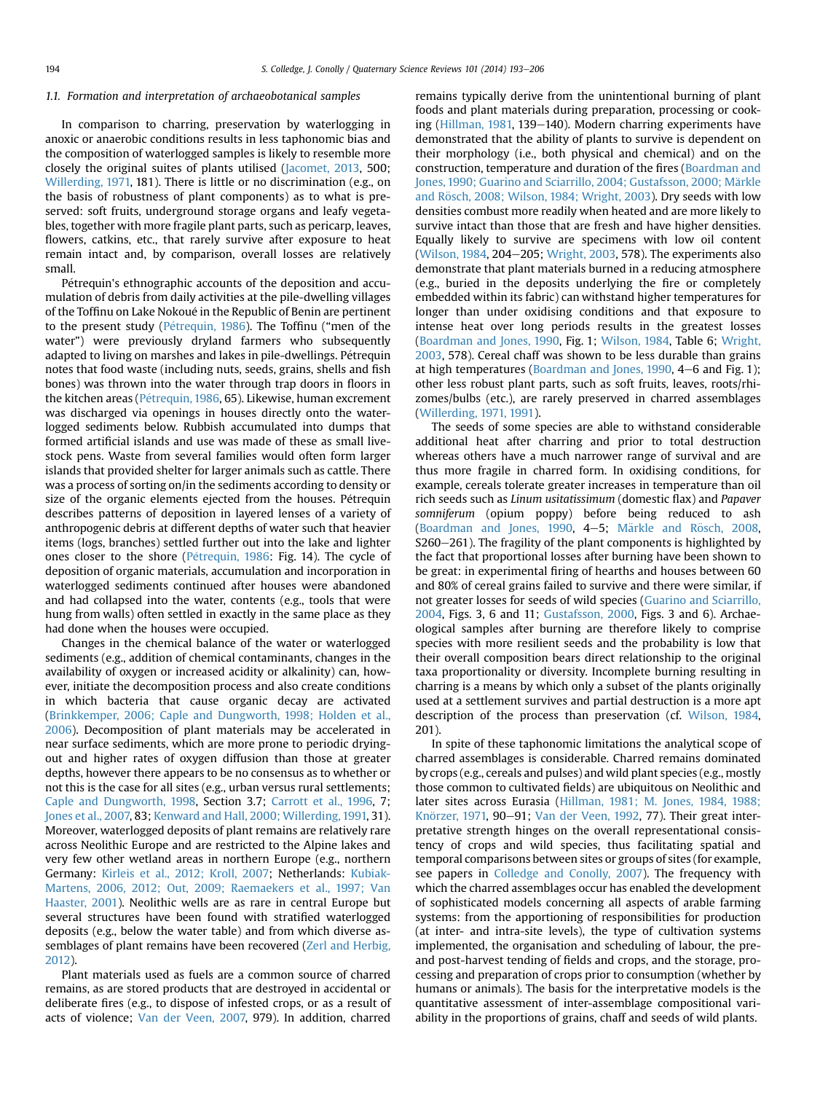#### 1.1. Formation and interpretation of archaeobotanical samples

In comparison to charring, preservation by waterlogging in anoxic or anaerobic conditions results in less taphonomic bias and the composition of waterlogged samples is likely to resemble more closely the original suites of plants utilised [\(Jacomet, 2013](#page-11-0), 500; [Willerding, 1971,](#page-13-0) 181). There is little or no discrimination (e.g., on the basis of robustness of plant components) as to what is preserved: soft fruits, underground storage organs and leafy vegetables, together with more fragile plant parts, such as pericarp, leaves, flowers, catkins, etc., that rarely survive after exposure to heat remain intact and, by comparison, overall losses are relatively small.

Pétrequin's ethnographic accounts of the deposition and accumulation of debris from daily activities at the pile-dwelling villages of the Toffinu on Lake Nokoue in the Republic of Benin are pertinent to the present study ([P](#page-12-0)é[trequin, 1986](#page-12-0)). The Toffinu ("men of the water") were previously dryland farmers who subsequently adapted to living on marshes and lakes in pile-dwellings. Petrequin notes that food waste (including nuts, seeds, grains, shells and fish bones) was thrown into the water through trap doors in floors in the kitchen areas (Pétrequin, 1986, 65). Likewise, human excrement was discharged via openings in houses directly onto the waterlogged sediments below. Rubbish accumulated into dumps that formed artificial islands and use was made of these as small livestock pens. Waste from several families would often form larger islands that provided shelter for larger animals such as cattle. There was a process of sorting on/in the sediments according to density or size of the organic elements ejected from the houses. Pétrequin describes patterns of deposition in layered lenses of a variety of anthropogenic debris at different depths of water such that heavier items (logs, branches) settled further out into the lake and lighter ones closer to the shore [\(P](#page-12-0)é[trequin, 1986](#page-12-0): Fig. 14). The cycle of deposition of organic materials, accumulation and incorporation in waterlogged sediments continued after houses were abandoned and had collapsed into the water, contents (e.g., tools that were hung from walls) often settled in exactly in the same place as they had done when the houses were occupied.

Changes in the chemical balance of the water or waterlogged sediments (e.g., addition of chemical contaminants, changes in the availability of oxygen or increased acidity or alkalinity) can, however, initiate the decomposition process and also create conditions in which bacteria that cause organic decay are activated ([Brinkkemper, 2006; Caple and Dungworth, 1998; Holden et al.,](#page-11-0) [2006](#page-11-0)). Decomposition of plant materials may be accelerated in near surface sediments, which are more prone to periodic dryingout and higher rates of oxygen diffusion than those at greater depths, however there appears to be no consensus as to whether or not this is the case for all sites (e.g., urban versus rural settlements; [Caple and Dungworth, 1998](#page-11-0), Section 3.7; [Carrott et al., 1996,](#page-11-0) 7; [Jones et al., 2007,](#page-12-0) 83; [Kenward and Hall, 2000; Willerding, 1991,](#page-12-0) 31). Moreover, waterlogged deposits of plant remains are relatively rare across Neolithic Europe and are restricted to the Alpine lakes and very few other wetland areas in northern Europe (e.g., northern Germany: [Kirleis et al., 2012; Kroll, 2007](#page-12-0); Netherlands: [Kubiak-](#page-12-0)[Martens, 2006, 2012; Out, 2009; Raemaekers et al., 1997; Van](#page-12-0) [Haaster, 2001\)](#page-12-0). Neolithic wells are as rare in central Europe but several structures have been found with stratified waterlogged deposits (e.g., below the water table) and from which diverse as-semblages of plant remains have been recovered ([Zerl and Herbig,](#page-13-0) [2012](#page-13-0)).

Plant materials used as fuels are a common source of charred remains, as are stored products that are destroyed in accidental or deliberate fires (e.g., to dispose of infested crops, or as a result of acts of violence; [Van der Veen, 2007,](#page-13-0) 979). In addition, charred

remains typically derive from the unintentional burning of plant foods and plant materials during preparation, processing or cook-ing ([Hillman, 1981,](#page-11-0) 139-140). Modern charring experiments have demonstrated that the ability of plants to survive is dependent on their morphology (i.e., both physical and chemical) and on the construction, temperature and duration of the fires ([Boardman and](#page-11-0) Jones, 1990; Guarino and Sciarrillo, 2004; Gustafsson, 2000; Märkle [and R](#page-11-0)ö[sch, 2008; Wilson, 1984; Wright, 2003](#page-11-0)). Dry seeds with low densities combust more readily when heated and are more likely to survive intact than those that are fresh and have higher densities. Equally likely to survive are specimens with low oil content ([Wilson, 1984](#page-13-0), 204-205; [Wright, 2003](#page-13-0), 578). The experiments also demonstrate that plant materials burned in a reducing atmosphere (e.g., buried in the deposits underlying the fire or completely embedded within its fabric) can withstand higher temperatures for longer than under oxidising conditions and that exposure to intense heat over long periods results in the greatest losses ([Boardman and Jones, 1990](#page-11-0), Fig. 1; [Wilson, 1984](#page-13-0), Table 6; [Wright,](#page-13-0) [2003](#page-13-0), 578). Cereal chaff was shown to be less durable than grains at high temperatures (Boardman and Jones,  $1990$ ,  $4-6$  and Fig. 1); other less robust plant parts, such as soft fruits, leaves, roots/rhizomes/bulbs (etc.), are rarely preserved in charred assemblages ([Willerding, 1971, 1991](#page-13-0)).

The seeds of some species are able to withstand considerable additional heat after charring and prior to total destruction whereas others have a much narrower range of survival and are thus more fragile in charred form. In oxidising conditions, for example, cereals tolerate greater increases in temperature than oil rich seeds such as Linum usitatissimum (domestic flax) and Papaver somniferum (opium poppy) before being reduced to ash ([Boardman and Jones, 1990,](#page-11-0) 4-5; [M](#page-12-0)ärkle and Rösch, 2008,  $S260-261$ ). The fragility of the plant components is highlighted by the fact that proportional losses after burning have been shown to be great: in experimental firing of hearths and houses between 60 and 80% of cereal grains failed to survive and there were similar, if not greater losses for seeds of wild species [\(Guarino and Sciarrillo,](#page-11-0) [2004](#page-11-0), Figs. 3, 6 and 11; [Gustafsson, 2000,](#page-11-0) Figs. 3 and 6). Archaeological samples after burning are therefore likely to comprise species with more resilient seeds and the probability is low that their overall composition bears direct relationship to the original taxa proportionality or diversity. Incomplete burning resulting in charring is a means by which only a subset of the plants originally used at a settlement survives and partial destruction is a more apt description of the process than preservation (cf. [Wilson, 1984,](#page-13-0) 201).

In spite of these taphonomic limitations the analytical scope of charred assemblages is considerable. Charred remains dominated by crops (e.g., cereals and pulses) and wild plant species (e.g., mostly those common to cultivated fields) are ubiquitous on Neolithic and later sites across Eurasia ([Hillman, 1981; M. Jones, 1984, 1988;](#page-11-0) [Kn](#page-11-0)ö[rzer, 1971](#page-11-0), 90–91; [Van der Veen, 1992](#page-13-0), 77). Their great interpretative strength hinges on the overall representational consistency of crops and wild species, thus facilitating spatial and temporal comparisons between sites or groups of sites (for example, see papers in [Colledge and Conolly, 2007\)](#page-11-0). The frequency with which the charred assemblages occur has enabled the development of sophisticated models concerning all aspects of arable farming systems: from the apportioning of responsibilities for production (at inter- and intra-site levels), the type of cultivation systems implemented, the organisation and scheduling of labour, the preand post-harvest tending of fields and crops, and the storage, processing and preparation of crops prior to consumption (whether by humans or animals). The basis for the interpretative models is the quantitative assessment of inter-assemblage compositional variability in the proportions of grains, chaff and seeds of wild plants.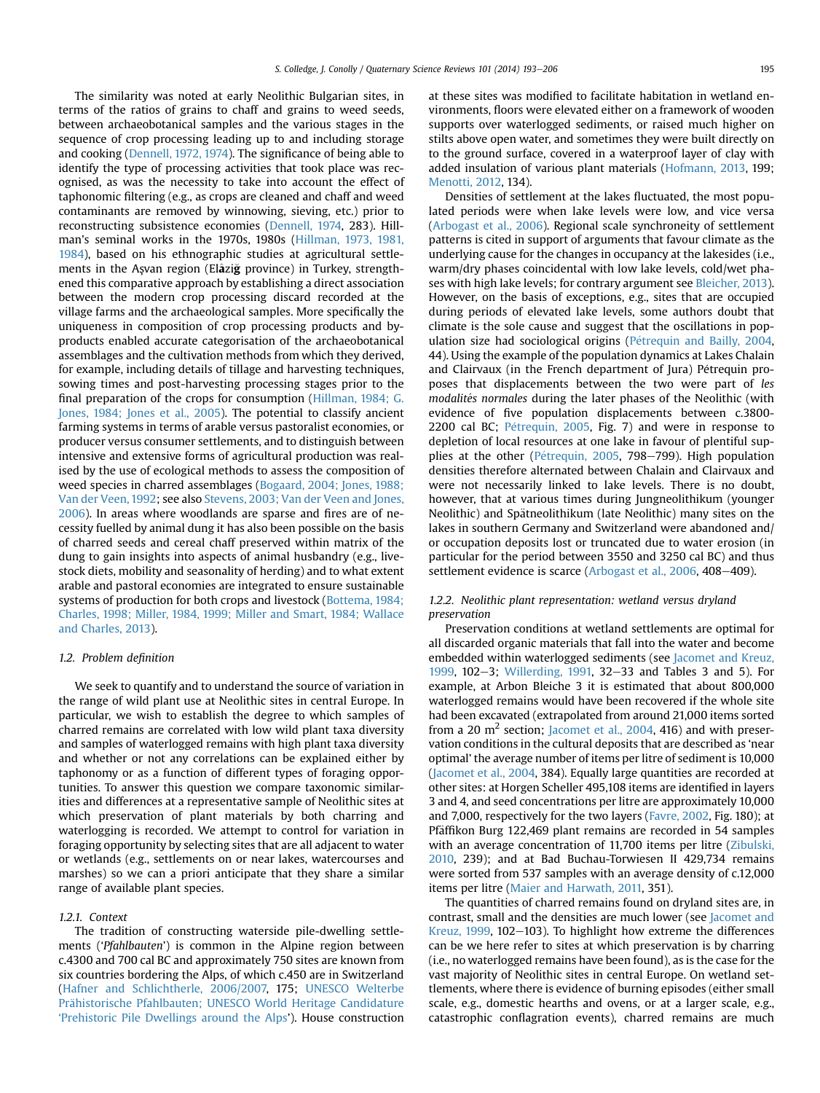The similarity was noted at early Neolithic Bulgarian sites, in terms of the ratios of grains to chaff and grains to weed seeds, between archaeobotanical samples and the various stages in the sequence of crop processing leading up to and including storage and cooking ([Dennell, 1972, 1974\)](#page-11-0). The significance of being able to identify the type of processing activities that took place was recognised, as was the necessity to take into account the effect of taphonomic filtering (e.g., as crops are cleaned and chaff and weed contaminants are removed by winnowing, sieving, etc.) prior to reconstructing subsistence economies ([Dennell, 1974](#page-11-0), 283). Hillman's seminal works in the 1970s, 1980s ([Hillman, 1973, 1981,](#page-11-0) [1984\)](#page-11-0), based on his ethnographic studies at agricultural settlements in the Aşvan region (Elâziğ province) in Turkey, strengthened this comparative approach by establishing a direct association between the modern crop processing discard recorded at the village farms and the archaeological samples. More specifically the uniqueness in composition of crop processing products and byproducts enabled accurate categorisation of the archaeobotanical assemblages and the cultivation methods from which they derived, for example, including details of tillage and harvesting techniques, sowing times and post-harvesting processing stages prior to the final preparation of the crops for consumption [\(Hillman, 1984; G.](#page-11-0) [Jones, 1984; Jones et al., 2005](#page-11-0)). The potential to classify ancient farming systems in terms of arable versus pastoralist economies, or producer versus consumer settlements, and to distinguish between intensive and extensive forms of agricultural production was realised by the use of ecological methods to assess the composition of weed species in charred assemblages ([Bogaard, 2004; Jones, 1988;](#page-11-0) [Van der Veen, 1992;](#page-11-0) see also [Stevens, 2003; Van der Veen and Jones,](#page-13-0) [2006\)](#page-13-0). In areas where woodlands are sparse and fires are of necessity fuelled by animal dung it has also been possible on the basis of charred seeds and cereal chaff preserved within matrix of the dung to gain insights into aspects of animal husbandry (e.g., livestock diets, mobility and seasonality of herding) and to what extent arable and pastoral economies are integrated to ensure sustainable systems of production for both crops and livestock [\(Bottema, 1984;](#page-11-0) [Charles, 1998; Miller, 1984, 1999; Miller and Smart, 1984; Wallace](#page-11-0) [and Charles, 2013](#page-11-0)).

## 1.2. Problem definition

We seek to quantify and to understand the source of variation in the range of wild plant use at Neolithic sites in central Europe. In particular, we wish to establish the degree to which samples of charred remains are correlated with low wild plant taxa diversity and samples of waterlogged remains with high plant taxa diversity and whether or not any correlations can be explained either by taphonomy or as a function of different types of foraging opportunities. To answer this question we compare taxonomic similarities and differences at a representative sample of Neolithic sites at which preservation of plant materials by both charring and waterlogging is recorded. We attempt to control for variation in foraging opportunity by selecting sites that are all adjacent to water or wetlands (e.g., settlements on or near lakes, watercourses and marshes) so we can a priori anticipate that they share a similar range of available plant species.

#### 1.2.1. Context

The tradition of constructing waterside pile-dwelling settlements ('Pfahlbauten') is common in the Alpine region between c.4300 and 700 cal BC and approximately 750 sites are known from six countries bordering the Alps, of which c.450 are in Switzerland ([Hafner and Schlichtherle, 2006/2007,](#page-11-0) 175; [UNESCO Welterbe](#page-13-0) Prähistorische Pfahlbauten; UNESCO World Heritage Candidature '[Prehistoric Pile Dwellings around the Alps](#page-13-0)'). House construction at these sites was modified to facilitate habitation in wetland environments, floors were elevated either on a framework of wooden supports over waterlogged sediments, or raised much higher on stilts above open water, and sometimes they were built directly on to the ground surface, covered in a waterproof layer of clay with added insulation of various plant materials [\(Hofmann, 2013,](#page-11-0) 199; [Menotti, 2012](#page-12-0), 134).

Densities of settlement at the lakes fluctuated, the most populated periods were when lake levels were low, and vice versa ([Arbogast et al., 2006](#page-11-0)). Regional scale synchroneity of settlement patterns is cited in support of arguments that favour climate as the underlying cause for the changes in occupancy at the lakesides (i.e., warm/dry phases coincidental with low lake levels, cold/wet pha-ses with high lake levels; for contrary argument see [Bleicher, 2013\)](#page-11-0). However, on the basis of exceptions, e.g., sites that are occupied during periods of elevated lake levels, some authors doubt that climate is the sole cause and suggest that the oscillations in population size had sociological origins (Pétrequin and Bailly, 2004, 44). Using the example of the population dynamics at Lakes Chalain and Clairvaux (in the French department of Jura) Pétrequin proposes that displacements between the two were part of les modalités normales during the later phases of the Neolithic (with evidence of five population displacements between c.3800- 2200 cal BC; [P](#page-12-0)étrequin,  $2005$ , Fig. 7) and were in response to depletion of local resources at one lake in favour of plentiful supplies at the other (Pétrequin, 2005, 798-799). High population densities therefore alternated between Chalain and Clairvaux and were not necessarily linked to lake levels. There is no doubt, however, that at various times during Jungneolithikum (younger Neolithic) and Spätneolithikum (late Neolithic) many sites on the lakes in southern Germany and Switzerland were abandoned and/ or occupation deposits lost or truncated due to water erosion (in particular for the period between 3550 and 3250 cal BC) and thus settlement evidence is scarce ([Arbogast et al., 2006,](#page-11-0) 408-409).

## 1.2.2. Neolithic plant representation: wetland versus dryland preservation

Preservation conditions at wetland settlements are optimal for all discarded organic materials that fall into the water and become embedded within waterlogged sediments (see [Jacomet and Kreuz,](#page-12-0) [1999,](#page-12-0)  $102-3$ ; [Willerding, 1991,](#page-13-0)  $32-33$  and Tables 3 and 5). For example, at Arbon Bleiche 3 it is estimated that about 800,000 waterlogged remains would have been recovered if the whole site had been excavated (extrapolated from around 21,000 items sorted from a 20  $m<sup>2</sup>$  section; [Jacomet et al., 2004,](#page-12-0) 416) and with preservation conditions in the cultural deposits that are described as 'near optimal' the average number of items per litre of sediment is 10,000 ([Jacomet et al., 2004,](#page-12-0) 384). Equally large quantities are recorded at other sites: at Horgen Scheller 495,108 items are identified in layers 3 and 4, and seed concentrations per litre are approximately 10,000 and 7,000, respectively for the two layers ([Favre, 2002,](#page-11-0) Fig. 180); at Pfäffikon Burg 122,469 plant remains are recorded in 54 samples with an average concentration of 11,700 items per litre ([Zibulski,](#page-13-0) [2010,](#page-13-0) 239); and at Bad Buchau-Torwiesen II 429,734 remains were sorted from 537 samples with an average density of c.12,000 items per litre ([Maier and Harwath, 2011,](#page-12-0) 351).

The quantities of charred remains found on dryland sites are, in contrast, small and the densities are much lower (see [Jacomet and](#page-12-0) Kreuz,  $1999$ ,  $102-103$ ). To highlight how extreme the differences can be we here refer to sites at which preservation is by charring (i.e., no waterlogged remains have been found), as is the case for the vast majority of Neolithic sites in central Europe. On wetland settlements, where there is evidence of burning episodes (either small scale, e.g., domestic hearths and ovens, or at a larger scale, e.g., catastrophic conflagration events), charred remains are much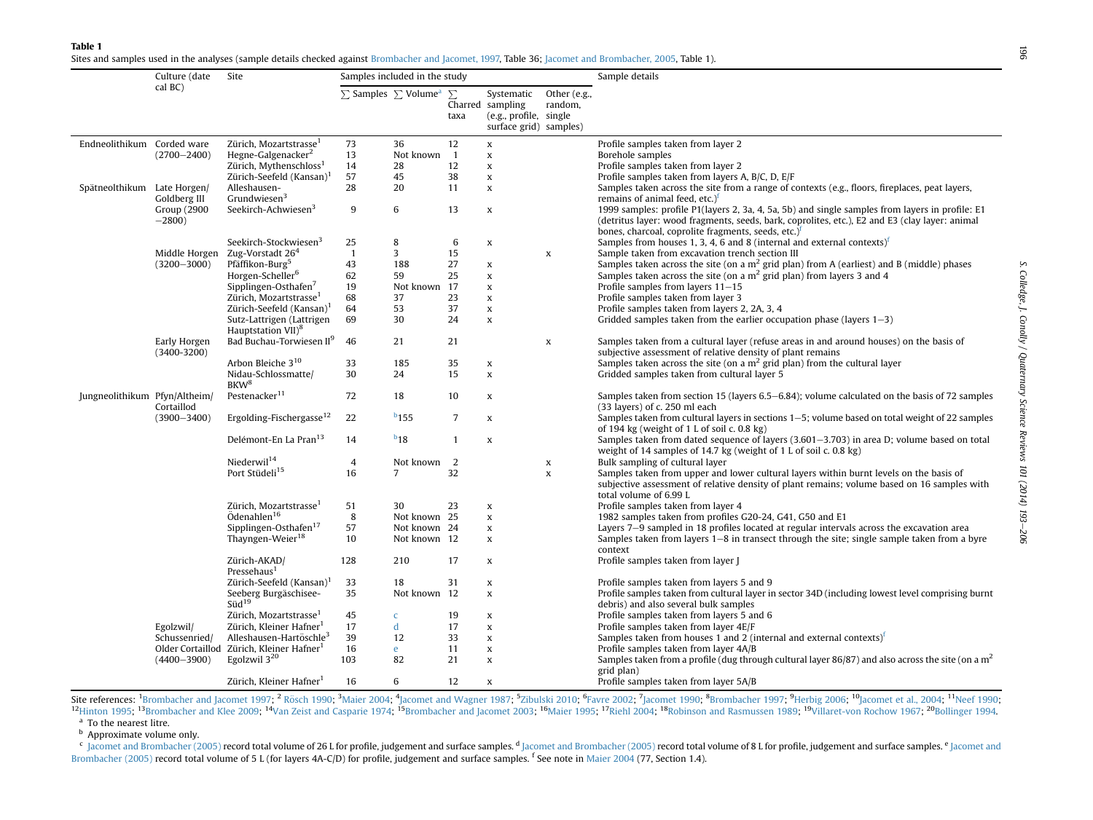<span id="page-3-0"></span>Sites and samples used in the analyses (sample details checked against [Brombacher](#page-11-0) and Jacomet, 1997, Table 36; Jacomet and [Brombacher,](#page-12-0) 2005, Table 1).

|                               | Culture (date                   | Site                                                        | Samples included in the study |                                                        |                | Sample details                                                                     |                         |                                                                                                                                                                                                                                                                      |
|-------------------------------|---------------------------------|-------------------------------------------------------------|-------------------------------|--------------------------------------------------------|----------------|------------------------------------------------------------------------------------|-------------------------|----------------------------------------------------------------------------------------------------------------------------------------------------------------------------------------------------------------------------------------------------------------------|
|                               | cal BC)                         |                                                             |                               | $\Sigma$ Samples $\Sigma$ Volume <sup>a</sup> $\Sigma$ | taxa           | Systematic<br>Charred sampling<br>(e.g., profile, single<br>surface grid) samples) | Other (e.g.,<br>random, |                                                                                                                                                                                                                                                                      |
| Endneolithikum Corded ware    |                                 | Zürich, Mozartstrasse <sup>1</sup>                          | 73                            | 36                                                     | 12             | $\mathbf x$                                                                        |                         | Profile samples taken from layer 2                                                                                                                                                                                                                                   |
|                               | $(2700 - 2400)$                 | Hegne-Galgenacker <sup>2</sup>                              | 13                            | Not known 1                                            |                | $\mathbf x$                                                                        |                         | Borehole samples                                                                                                                                                                                                                                                     |
|                               |                                 | Zürich, Mythenschloss <sup>1</sup>                          | 14                            | 28                                                     | 12             | $\mathbf x$                                                                        |                         | Profile samples taken from layer 2                                                                                                                                                                                                                                   |
|                               |                                 | Zürich-Seefeld (Kansan) <sup>1</sup>                        | 57                            | 45                                                     | 38             | $\mathbf x$                                                                        |                         | Profile samples taken from layers A, B/C, D, E/F                                                                                                                                                                                                                     |
| Spätneolthikum Late Horgen/   | Goldberg III                    | Alleshausen-<br>Grundwiesen <sup>3</sup>                    | 28                            | 20                                                     | 11             | $\mathbf x$                                                                        |                         | Samples taken across the site from a range of contexts (e.g., floors, fireplaces, peat layers,<br>remains of animal feed, etc.) <sup>I</sup>                                                                                                                         |
|                               | <b>Group (2900)</b><br>$-2800$  | Seekirch-Achwiesen <sup>3</sup>                             | 9                             | 6                                                      | 13             | $\boldsymbol{\mathsf{x}}$                                                          |                         | 1999 samples: profile P1(layers 2, 3a, 4, 5a, 5b) and single samples from layers in profile: E1<br>(detritus layer: wood fragments, seeds, bark, coprolites, etc.), E2 and E3 (clay layer: animal<br>bones, charcoal, coprolite fragments, seeds, etc.) <sup>†</sup> |
|                               |                                 | Seekirch-Stockwiesen <sup>3</sup>                           | 25                            | 8                                                      | 6              | $\mathbf x$                                                                        |                         | Samples from houses 1, 3, 4, 6 and 8 (internal and external contexts) $f$                                                                                                                                                                                            |
|                               | Middle Horgen                   | Zug-Vorstadt 26 <sup>4</sup>                                | $\mathbf{1}$                  | 3                                                      | 15             |                                                                                    | $\mathbf x$             | Sample taken from excavation trench section III                                                                                                                                                                                                                      |
|                               | $(3200 - 3000)$                 | Pfäffikon-Burg <sup>5</sup>                                 | 43                            | 188                                                    | 27             | $\mathbf x$                                                                        |                         | Samples taken across the site (on a $m^2$ grid plan) from A (earliest) and B (middle) phases                                                                                                                                                                         |
|                               |                                 | Horgen-Scheller <sup>6</sup>                                | 62                            | 59                                                     | 25             | $\mathbf x$                                                                        |                         | Samples taken across the site (on a $m^2$ grid plan) from layers 3 and 4                                                                                                                                                                                             |
|                               |                                 | Sipplingen-Osthafen <sup>7</sup>                            | 19                            | Not known 17                                           |                | $\mathbf x$                                                                        |                         | Profile samples from layers $11-15$                                                                                                                                                                                                                                  |
|                               |                                 | Zürich, Mozartstrasse <sup>1</sup>                          | 68                            | 37                                                     | 23             | $\mathbf x$                                                                        |                         | Profile samples taken from layer 3                                                                                                                                                                                                                                   |
|                               |                                 | Zürich-Seefeld (Kansan) <sup>1</sup>                        | 64                            | 53                                                     | 37             | $\mathbf x$                                                                        |                         | Profile samples taken from layers 2, 2A, 3, 4                                                                                                                                                                                                                        |
|                               |                                 | Sutz-Lattrigen (Lattrigen<br>Hauptstation VII) <sup>8</sup> | 69                            | 30                                                     | 24             | $\mathbf x$                                                                        |                         | Gridded samples taken from the earlier occupation phase (layers $1-3$ )                                                                                                                                                                                              |
|                               | Early Horgen<br>$(3400 - 3200)$ | Bad Buchau-Torwiesen II <sup>9</sup>                        | 46                            | 21                                                     | 21             |                                                                                    | $\mathbf x$             | Samples taken from a cultural layer (refuse areas in and around houses) on the basis of<br>subjective assessment of relative density of plant remains                                                                                                                |
|                               |                                 | Arbon Bleiche 3 <sup>10</sup>                               | 33                            | 185                                                    | 35             | $\mathbf x$                                                                        |                         | Samples taken across the site (on a $m2$ grid plan) from the cultural layer                                                                                                                                                                                          |
|                               |                                 | Nidau-Schlossmatte/<br>BKW <sup>8</sup>                     | 30                            | 24                                                     | 15             | $\boldsymbol{\mathsf{x}}$                                                          |                         | Gridded samples taken from cultural layer 5                                                                                                                                                                                                                          |
| Jungneolithikum Pfyn/Altheim/ | Cortaillod                      | Pestenacker <sup>11</sup>                                   | 72                            | 18                                                     | 10             | $\mathbf x$                                                                        |                         | Samples taken from section 15 (layers 6.5–6.84); volume calculated on the basis of 72 samples<br>(33 layers) of c. 250 ml each                                                                                                                                       |
|                               | $(3900 - 3400)$                 | Ergolding-Fischergasse <sup>12</sup>                        | 22                            | $b$ 155                                                | $\overline{7}$ | $\boldsymbol{\mathsf{x}}$                                                          |                         | Samples taken from cultural layers in sections $1-5$ ; volume based on total weight of 22 samples<br>of 194 kg (weight of 1 L of soil c. 0.8 kg)                                                                                                                     |
|                               |                                 | Delémont-En La Pran <sup>13</sup>                           | 14                            | $b_{18}$                                               | $\mathbf{1}$   | $\boldsymbol{\mathsf{x}}$                                                          |                         | Samples taken from dated sequence of layers $(3.601-3.703)$ in area D; volume based on total<br>weight of 14 samples of 14.7 kg (weight of 1 L of soil c. 0.8 kg)                                                                                                    |
|                               |                                 | Niederwil <sup>14</sup>                                     | $\overline{4}$                | Not known 2                                            |                |                                                                                    | x                       | Bulk sampling of cultural layer                                                                                                                                                                                                                                      |
|                               |                                 | Port Stüdeli <sup>15</sup>                                  | 16                            | $\overline{7}$                                         | 32             |                                                                                    | $\mathbf x$             | Samples taken from upper and lower cultural layers within burnt levels on the basis of<br>subjective assessment of relative density of plant remains; volume based on 16 samples with<br>total volume of 6.99 L                                                      |
|                               |                                 | Zürich, Mozartstrasse <sup>1</sup>                          | 51                            | 30                                                     | 23             | $\mathbf x$                                                                        |                         | Profile samples taken from layer 4                                                                                                                                                                                                                                   |
|                               |                                 | Ödenahlen <sup>16</sup>                                     | 8                             | Not known 25                                           |                | $\mathbf x$                                                                        |                         | 1982 samples taken from profiles G20-24, G41, G50 and E1                                                                                                                                                                                                             |
|                               |                                 | Sipplingen-Osthafen <sup>17</sup>                           | 57                            | Not known 24                                           |                | $\mathbf x$                                                                        |                         | Layers 7-9 sampled in 18 profiles located at regular intervals across the excavation area                                                                                                                                                                            |
|                               |                                 | Thayngen-Weier <sup>18</sup>                                | 10                            | Not known 12                                           |                | $\mathbf x$                                                                        |                         | Samples taken from layers $1-8$ in transect through the site; single sample taken from a byre<br>context                                                                                                                                                             |
|                               |                                 | Zürich-AKAD/<br>Pressehaus <sup>1</sup>                     | 128                           | 210                                                    | 17             | $\mathbf{x}$                                                                       |                         | Profile samples taken from layer J                                                                                                                                                                                                                                   |
|                               |                                 | Zürich-Seefeld (Kansan) <sup>1</sup>                        | 33                            | 18                                                     | 31             | $\mathbf x$                                                                        |                         | Profile samples taken from layers 5 and 9                                                                                                                                                                                                                            |
|                               |                                 | Seeberg Burgäschisee-<br>Süd <sup>19</sup>                  | 35                            | Not known 12                                           |                | $\mathbf x$                                                                        |                         | Profile samples taken from cultural layer in sector 34D (including lowest level comprising burnt<br>debris) and also several bulk samples                                                                                                                            |
|                               |                                 | Zürich, Mozartstrasse <sup>1</sup>                          | 45                            | $\mathsf{C}$                                           | 19             | X                                                                                  |                         | Profile samples taken from layers 5 and 6                                                                                                                                                                                                                            |
|                               | Egolzwil/                       | Zürich, Kleiner Hafner <sup>1</sup>                         | 17                            | $\mathbf d$                                            | 17             | $\mathbf x$                                                                        |                         | Profile samples taken from layer 4E/F                                                                                                                                                                                                                                |
|                               | Schussenried/                   | Alleshausen-Hartöschle <sup>3</sup>                         | 39                            | 12                                                     | 33             | $\mathbf x$                                                                        |                         | Samples taken from houses 1 and 2 (internal and external contexts) $f$                                                                                                                                                                                               |
|                               |                                 | Older Cortaillod Zürich, Kleiner Hafner <sup>1</sup>        | 16                            | e                                                      | 11             | $\mathbf x$                                                                        |                         | Profile samples taken from layer 4A/B                                                                                                                                                                                                                                |
|                               | $(4400 - 3900)$                 | Egolzwil $3^{20}$                                           | 103                           | 82                                                     | 21             | $\boldsymbol{\mathsf{x}}$                                                          |                         | Samples taken from a profile (dug through cultural layer 86/87) and also across the site (on a $m^2$<br>grid plan)                                                                                                                                                   |
|                               |                                 | Zürich, Kleiner Hafner <sup>1</sup>                         | 16                            | 6                                                      | 12             | $\boldsymbol{\mathsf{x}}$                                                          |                         | Profile samples taken from layer 5A/B                                                                                                                                                                                                                                |

Site references: 1[Brombacher](#page-11-0) and Jacomet 1997; <sup>2</sup> [R](#page-12-0)ösch [1990](#page-12-0); <sup>3</sup>[Maier](#page-12-0) 2004; <sup>4</sup>Jacomet and Wagner 1987; <sup>5</sup>[Zibulski](#page-13-0) 2010; <sup>6</sup>Favre [2002](#page-11-0); <sup>7</sup>[Jacomet](#page-11-0) 1990; <sup>8</sup>Brombacher 1997; <sup>9</sup>[Herbig](#page-11-0) 2006; <sup>10</sup>Jacomet et al., 2004; <sup>11</sup> <sup>12</sup>Hinton 1995; <sup>13</sup>[Brombacher](#page-11-0) and Klee 2009; <sup>14</sup>Van Zeist and [Casparie](#page-13-0) 1974; <sup>15</sup>Brombacher and Jacomet 2003; <sup>16</sup>[Maier](#page-12-0) 1995; <sup>17</sup>Riehl 2004; <sup>18</sup>Robinson and [Rasmussen](#page-12-0) 1989; <sup>19</sup>Villaret-von Rochow 1967; <sup>20</sup>[Bollinger](#page-11-0)

<sup>a</sup> To the nearest litre.

**b** Approximate volume only.

 $^{\mathsf{c}}$  Jacomet and [Brombacher](#page-12-0) (2005) record total volume of 26 L for profile, judgement and surface samples.  $^{\mathsf{d}}$  [Jacomet](#page-12-0) and surface samples,  $^{\mathsf{d}}$  Jacomet and Surface Samples.  $^{\mathsf{e}}$  Jacomet and Surface s [Brombacher](#page-12-0) (2005) record total volume of 5 L (for layers 4A-C/D) for profile, judgement and surface samples. <sup>f</sup> See note in [Maier](#page-12-0) 2004 (77, Section 1.4).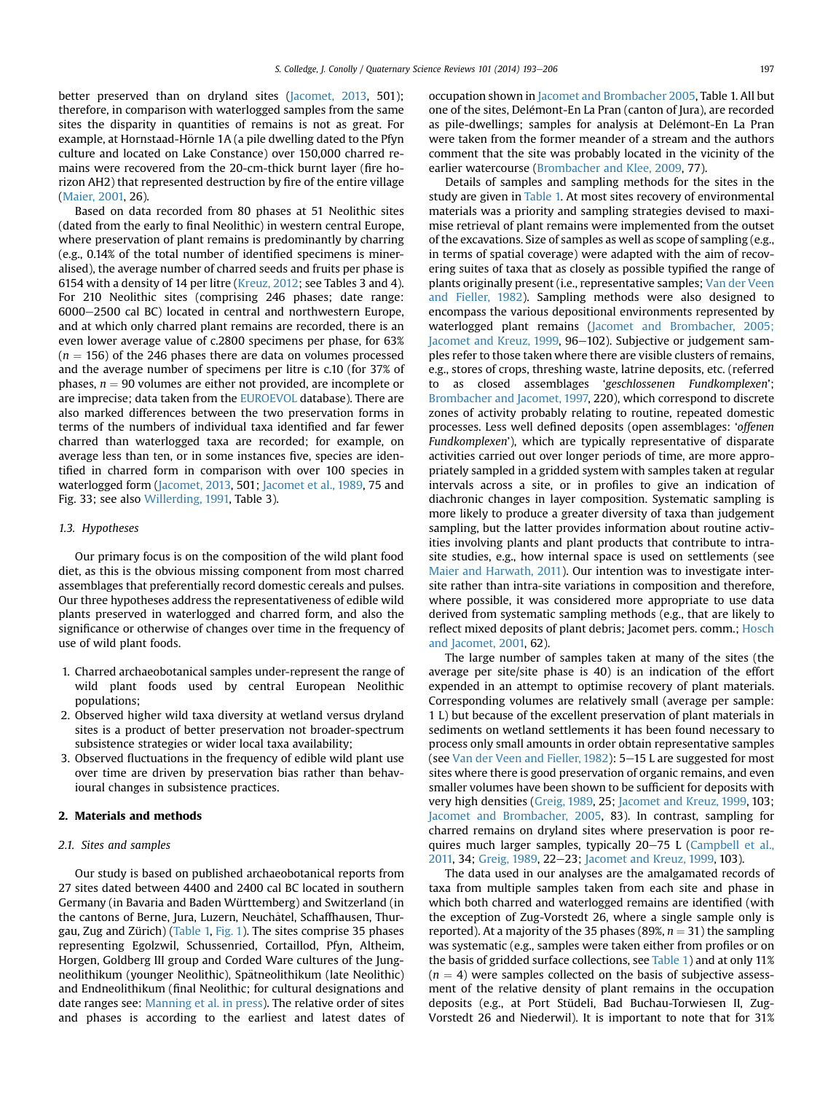better preserved than on dryland sites ([Jacomet, 2013](#page-11-0), 501); therefore, in comparison with waterlogged samples from the same sites the disparity in quantities of remains is not as great. For example, at Hornstaad-Hörnle 1A (a pile dwelling dated to the Pfyn culture and located on Lake Constance) over 150,000 charred remains were recovered from the 20-cm-thick burnt layer (fire horizon AH2) that represented destruction by fire of the entire village ([Maier, 2001,](#page-12-0) 26).

Based on data recorded from 80 phases at 51 Neolithic sites (dated from the early to final Neolithic) in western central Europe, where preservation of plant remains is predominantly by charring (e.g., 0.14% of the total number of identified specimens is mineralised), the average number of charred seeds and fruits per phase is 6154 with a density of 14 per litre ([Kreuz, 2012;](#page-12-0) see Tables 3 and 4). For 210 Neolithic sites (comprising 246 phases; date range: 6000–2500 cal BC) located in central and northwestern Europe, and at which only charred plant remains are recorded, there is an even lower average value of c.2800 specimens per phase, for 63%  $(n = 156)$  of the 246 phases there are data on volumes processed and the average number of specimens per litre is c.10 (for 37% of phases,  $n = 90$  volumes are either not provided, are incomplete or are imprecise; data taken from the [EUROEVOL](#page-11-0) database). There are also marked differences between the two preservation forms in terms of the numbers of individual taxa identified and far fewer charred than waterlogged taxa are recorded; for example, on average less than ten, or in some instances five, species are identified in charred form in comparison with over 100 species in waterlogged form [\(Jacomet, 2013,](#page-11-0) 501; [Jacomet et al., 1989,](#page-11-0) 75 and Fig. 33; see also [Willerding, 1991,](#page-13-0) Table 3).

#### 1.3. Hypotheses

Our primary focus is on the composition of the wild plant food diet, as this is the obvious missing component from most charred assemblages that preferentially record domestic cereals and pulses. Our three hypotheses address the representativeness of edible wild plants preserved in waterlogged and charred form, and also the significance or otherwise of changes over time in the frequency of use of wild plant foods.

- 1. Charred archaeobotanical samples under-represent the range of wild plant foods used by central European Neolithic populations;
- 2. Observed higher wild taxa diversity at wetland versus dryland sites is a product of better preservation not broader-spectrum subsistence strategies or wider local taxa availability;
- 3. Observed fluctuations in the frequency of edible wild plant use over time are driven by preservation bias rather than behavioural changes in subsistence practices.

#### 2. Materials and methods

#### 2.1. Sites and samples

Our study is based on published archaeobotanical reports from 27 sites dated between 4400 and 2400 cal BC located in southern Germany (in Bavaria and Baden Württemberg) and Switzerland (in the cantons of Berne, Jura, Luzern, Neuchatel, Schaffhausen, Thur- ^ gau, Zug and Zürich) [\(Table 1,](#page-3-0) [Fig. 1](#page-5-0)). The sites comprise 35 phases representing Egolzwil, Schussenried, Cortaillod, Pfyn, Altheim, Horgen, Goldberg III group and Corded Ware cultures of the Jungneolithikum (younger Neolithic), Spätneolithikum (late Neolithic) and Endneolithikum (final Neolithic; for cultural designations and date ranges see: [Manning et al. in press\)](#page-12-0). The relative order of sites and phases is according to the earliest and latest dates of occupation shown in [Jacomet and Brombacher 2005](#page-12-0), Table 1. All but one of the sites, Delémont-En La Pran (canton of Jura), are recorded as pile-dwellings; samples for analysis at Delémont-En La Pran were taken from the former meander of a stream and the authors comment that the site was probably located in the vicinity of the earlier watercourse [\(Brombacher and Klee, 2009](#page-11-0), 77).

Details of samples and sampling methods for the sites in the study are given in [Table 1.](#page-3-0) At most sites recovery of environmental materials was a priority and sampling strategies devised to maximise retrieval of plant remains were implemented from the outset of the excavations. Size of samples as well as scope of sampling (e.g., in terms of spatial coverage) were adapted with the aim of recovering suites of taxa that as closely as possible typified the range of plants originally present (i.e., representative samples; [Van der Veen](#page-13-0) [and Fieller, 1982\)](#page-13-0). Sampling methods were also designed to encompass the various depositional environments represented by waterlogged plant remains [\(Jacomet and Brombacher, 2005;](#page-12-0) [Jacomet and Kreuz, 1999,](#page-12-0) 96-102). Subjective or judgement samples refer to those taken where there are visible clusters of remains, e.g., stores of crops, threshing waste, latrine deposits, etc. (referred to as closed assemblages 'geschlossenen Fundkomplexen'; [Brombacher and Jacomet, 1997,](#page-11-0) 220), which correspond to discrete zones of activity probably relating to routine, repeated domestic processes. Less well defined deposits (open assemblages: 'offenen Fundkomplexen'), which are typically representative of disparate activities carried out over longer periods of time, are more appropriately sampled in a gridded system with samples taken at regular intervals across a site, or in profiles to give an indication of diachronic changes in layer composition. Systematic sampling is more likely to produce a greater diversity of taxa than judgement sampling, but the latter provides information about routine activities involving plants and plant products that contribute to intrasite studies, e.g., how internal space is used on settlements (see [Maier and Harwath, 2011](#page-12-0)). Our intention was to investigate intersite rather than intra-site variations in composition and therefore, where possible, it was considered more appropriate to use data derived from systematic sampling methods (e.g., that are likely to reflect mixed deposits of plant debris; Jacomet pers. comm.; [Hosch](#page-11-0) [and Jacomet, 2001,](#page-11-0) 62).

The large number of samples taken at many of the sites (the average per site/site phase is 40) is an indication of the effort expended in an attempt to optimise recovery of plant materials. Corresponding volumes are relatively small (average per sample: 1 L) but because of the excellent preservation of plant materials in sediments on wetland settlements it has been found necessary to process only small amounts in order obtain representative samples (see [Van der Veen and Fieller, 1982](#page-13-0)): 5-15 L are suggested for most sites where there is good preservation of organic remains, and even smaller volumes have been shown to be sufficient for deposits with very high densities [\(Greig, 1989,](#page-11-0) 25; [Jacomet and Kreuz, 1999](#page-12-0), 103; [Jacomet and Brombacher, 2005,](#page-12-0) 83). In contrast, sampling for charred remains on dryland sites where preservation is poor requires much larger samples, typically  $20-75$  L ([Campbell et al.,](#page-11-0) [2011,](#page-11-0) 34; [Greig, 1989](#page-11-0), 22–23; [Jacomet and Kreuz, 1999,](#page-12-0) 103).

The data used in our analyses are the amalgamated records of taxa from multiple samples taken from each site and phase in which both charred and waterlogged remains are identified (with the exception of Zug-Vorstedt 26, where a single sample only is reported). At a majority of the 35 phases (89%,  $n = 31$ ) the sampling was systematic (e.g., samples were taken either from profiles or on the basis of gridded surface collections, see [Table 1](#page-3-0)) and at only 11%  $(n = 4)$  were samples collected on the basis of subjective assessment of the relative density of plant remains in the occupation deposits (e.g., at Port Stüdeli, Bad Buchau-Torwiesen II, Zug-Vorstedt 26 and Niederwil). It is important to note that for 31%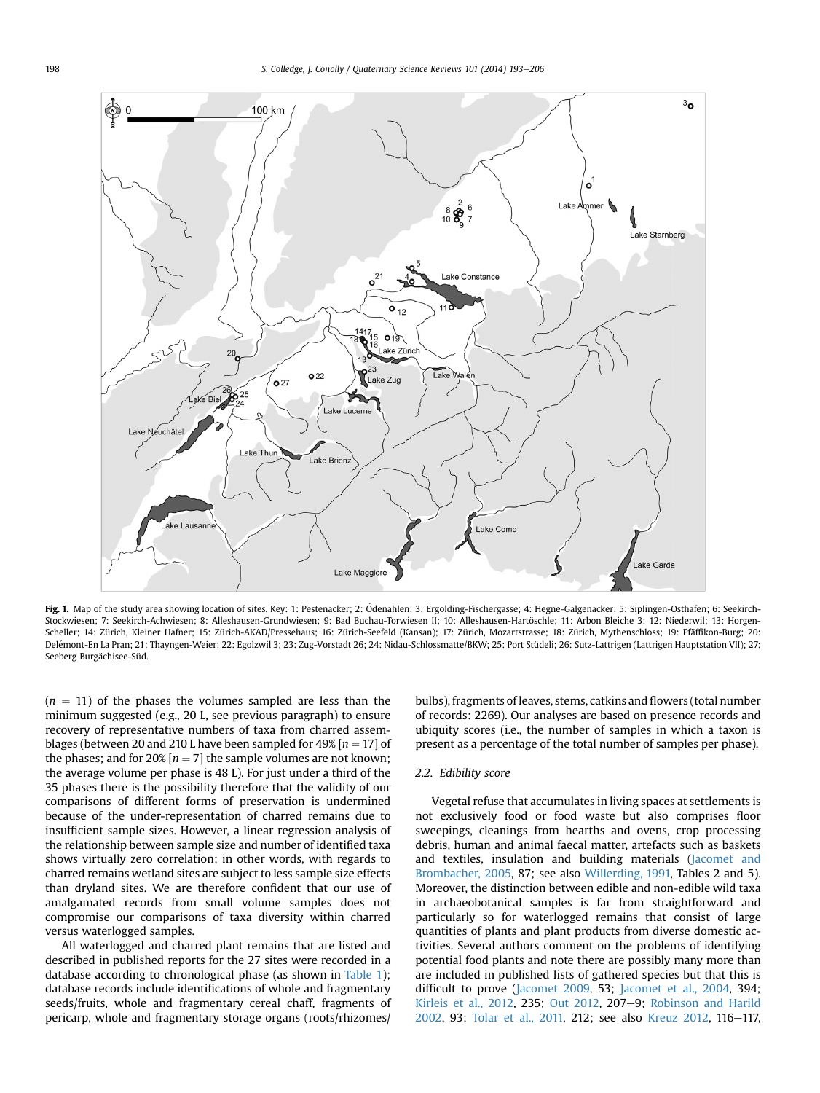<span id="page-5-0"></span>

Fig. 1. Map of the study area showing location of sites. Key: 1: Pestenacker; 2: Ödenahlen; 3: Ergolding-Fischergasse; 4: Hegne-Galgenacker; 5: Siplingen-Osthafen; 6: Seekirch-Stockwiesen; 7: Seekirch-Achwiesen; 8: Alleshausen-Grundwiesen; 9: Bad Buchau-Torwiesen II; 10: Alleshausen-Hartöschle; 11: Arbon Bleiche 3; 12: Niederwil; 13: Horgen-Scheller; 14: Zürich, Kleiner Hafner; 15: Zürich-AKAD/Pressehaus; 16: Zürich-Seefeld (Kansan); 17: Zürich, Mozartstrasse; 18: Zürich, Mythenschloss; 19: Pfäffikon-Burg; 20: Delémont-En La Pran; 21: Thayngen-Weier; 22: Egolzwil 3; 23: Zug-Vorstadt 26; 24: Nidau-Schlossmatte/BKW; 25: Port Stüdeli; 26: Sutz-Lattrigen (Lattrigen Hauptstation VII); 27: Seeberg Burgächisee-Süd.

 $(n = 11)$  of the phases the volumes sampled are less than the minimum suggested (e.g., 20 L, see previous paragraph) to ensure recovery of representative numbers of taxa from charred assemblages (between 20 and 210 L have been sampled for 49%  $[n = 17]$  of the phases; and for 20%  $[n = 7]$  the sample volumes are not known; the average volume per phase is 48 L). For just under a third of the 35 phases there is the possibility therefore that the validity of our comparisons of different forms of preservation is undermined because of the under-representation of charred remains due to insufficient sample sizes. However, a linear regression analysis of the relationship between sample size and number of identified taxa shows virtually zero correlation; in other words, with regards to charred remains wetland sites are subject to less sample size effects than dryland sites. We are therefore confident that our use of amalgamated records from small volume samples does not compromise our comparisons of taxa diversity within charred versus waterlogged samples.

All waterlogged and charred plant remains that are listed and described in published reports for the 27 sites were recorded in a database according to chronological phase (as shown in [Table 1](#page-3-0)); database records include identifications of whole and fragmentary seeds/fruits, whole and fragmentary cereal chaff, fragments of pericarp, whole and fragmentary storage organs (roots/rhizomes/

bulbs), fragments of leaves, stems, catkins and flowers (total number of records: 2269). Our analyses are based on presence records and ubiquity scores (i.e., the number of samples in which a taxon is present as a percentage of the total number of samples per phase).

## 2.2. Edibility score

Vegetal refuse that accumulates in living spaces at settlements is not exclusively food or food waste but also comprises floor sweepings, cleanings from hearths and ovens, crop processing debris, human and animal faecal matter, artefacts such as baskets and textiles, insulation and building materials ([Jacomet and](#page-12-0) [Brombacher, 2005](#page-12-0), 87; see also [Willerding, 1991,](#page-13-0) Tables 2 and 5). Moreover, the distinction between edible and non-edible wild taxa in archaeobotanical samples is far from straightforward and particularly so for waterlogged remains that consist of large quantities of plants and plant products from diverse domestic activities. Several authors comment on the problems of identifying potential food plants and note there are possibly many more than are included in published lists of gathered species but that this is difficult to prove [\(Jacomet 2009,](#page-11-0) 53; [Jacomet et al., 2004,](#page-12-0) 394; [Kirleis et al., 2012](#page-12-0), 235; [Out 2012](#page-12-0), 207-9; [Robinson and Harild](#page-12-0) [2002](#page-12-0), 93; [Tolar et al., 2011,](#page-13-0) 212; see also [Kreuz 2012,](#page-12-0) 116-117,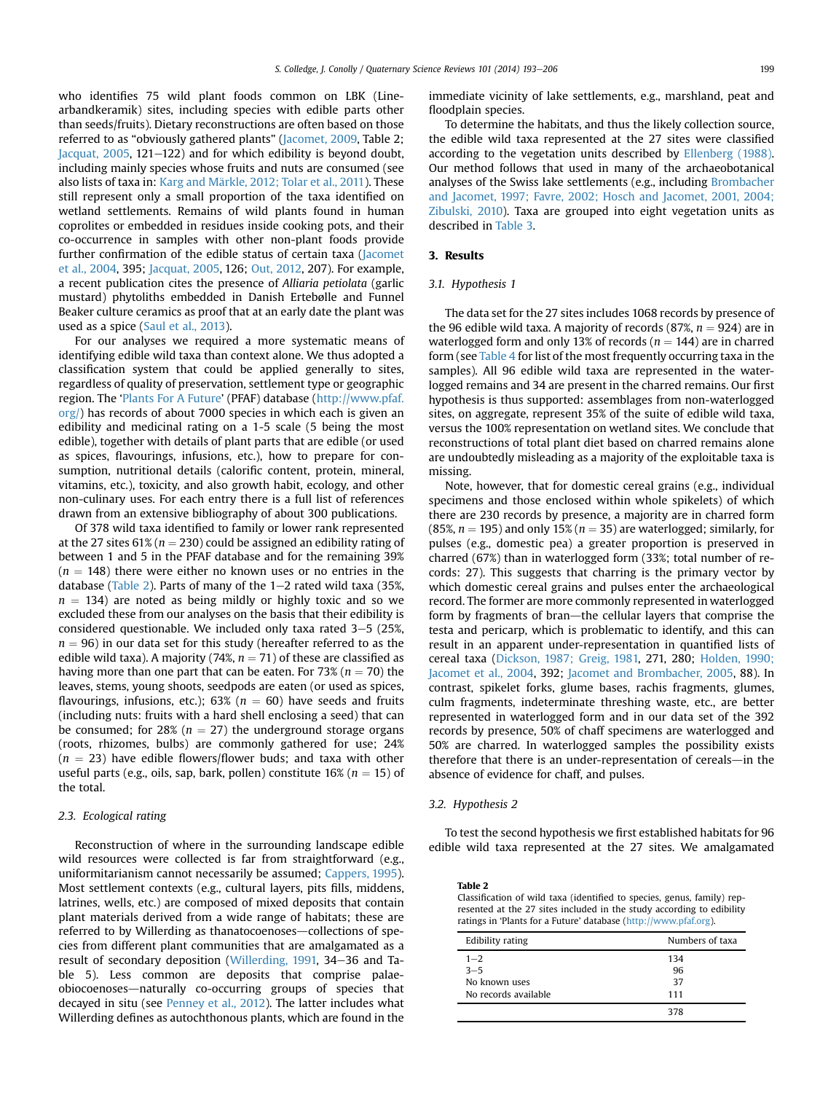who identifies 75 wild plant foods common on LBK (Linearbandkeramik) sites, including species with edible parts other than seeds/fruits). Dietary reconstructions are often based on those referred to as "obviously gathered plants" ([Jacomet, 2009](#page-11-0), Table 2; Jacquat,  $2005$ ,  $121-122$ ) and for which edibility is beyond doubt, including mainly species whose fruits and nuts are consumed (see also lists of taxa in: Karg and Märkle, 2012; Tolar et al., 2011). These still represent only a small proportion of the taxa identified on wetland settlements. Remains of wild plants found in human coprolites or embedded in residues inside cooking pots, and their co-occurrence in samples with other non-plant foods provide further confirmation of the edible status of certain taxa [\(Jacomet](#page-12-0) [et al., 2004,](#page-12-0) 395; [Jacquat, 2005,](#page-11-0) 126; [Out, 2012](#page-12-0), 207). For example, a recent publication cites the presence of Alliaria petiolata (garlic mustard) phytoliths embedded in Danish Ertebølle and Funnel Beaker culture ceramics as proof that at an early date the plant was used as a spice [\(Saul et al., 2013\)](#page-12-0).

For our analyses we required a more systematic means of identifying edible wild taxa than context alone. We thus adopted a classification system that could be applied generally to sites, regardless of quality of preservation, settlement type or geographic region. The '[Plants For A Future](#page-12-0)' (PFAF) database ([http://www.pfaf.](http://www.pfaf.org/) [org/\)](http://www.pfaf.org/) has records of about 7000 species in which each is given an edibility and medicinal rating on a 1-5 scale (5 being the most edible), together with details of plant parts that are edible (or used as spices, flavourings, infusions, etc.), how to prepare for consumption, nutritional details (calorific content, protein, mineral, vitamins, etc.), toxicity, and also growth habit, ecology, and other non-culinary uses. For each entry there is a full list of references drawn from an extensive bibliography of about 300 publications.

Of 378 wild taxa identified to family or lower rank represented at the 27 sites 61% ( $n = 230$ ) could be assigned an edibility rating of between 1 and 5 in the PFAF database and for the remaining 39%  $(n = 148)$  there were either no known uses or no entries in the database (Table 2). Parts of many of the  $1-2$  rated wild taxa (35%,  $n = 134$ ) are noted as being mildly or highly toxic and so we excluded these from our analyses on the basis that their edibility is considered questionable. We included only taxa rated  $3-5$  (25%,  $n = 96$ ) in our data set for this study (hereafter referred to as the edible wild taxa). A majority (74%,  $n = 71$ ) of these are classified as having more than one part that can be eaten. For 73% ( $n = 70$ ) the leaves, stems, young shoots, seedpods are eaten (or used as spices, flavourings, infusions, etc.); 63% ( $n = 60$ ) have seeds and fruits (including nuts: fruits with a hard shell enclosing a seed) that can be consumed; for 28% ( $n = 27$ ) the underground storage organs (roots, rhizomes, bulbs) are commonly gathered for use; 24%  $(n = 23)$  have edible flowers/flower buds; and taxa with other useful parts (e.g., oils, sap, bark, pollen) constitute  $16\%$  ( $n = 15$ ) of the total.

## 2.3. Ecological rating

Reconstruction of where in the surrounding landscape edible wild resources were collected is far from straightforward (e.g., uniformitarianism cannot necessarily be assumed; [Cappers, 1995\)](#page-11-0). Most settlement contexts (e.g., cultural layers, pits fills, middens, latrines, wells, etc.) are composed of mixed deposits that contain plant materials derived from a wide range of habitats; these are referred to by Willerding as thanatocoenoses—collections of species from different plant communities that are amalgamated as a result of secondary deposition [\(Willerding, 1991,](#page-13-0) 34-36 and Table 5). Less common are deposits that comprise palaeobiocoenoses-naturally co-occurring groups of species that decayed in situ (see [Penney et al., 2012\)](#page-12-0). The latter includes what Willerding defines as autochthonous plants, which are found in the immediate vicinity of lake settlements, e.g., marshland, peat and floodplain species.

To determine the habitats, and thus the likely collection source, the edible wild taxa represented at the 27 sites were classified according to the vegetation units described by [Ellenberg \(1988\).](#page-11-0) Our method follows that used in many of the archaeobotanical analyses of the Swiss lake settlements (e.g., including [Brombacher](#page-11-0) [and Jacomet, 1997; Favre, 2002; Hosch and Jacomet, 2001, 2004;](#page-11-0) [Zibulski, 2010](#page-11-0)). Taxa are grouped into eight vegetation units as described in [Table 3](#page-7-0).

#### 3. Results

#### 3.1. Hypothesis 1

The data set for the 27 sites includes 1068 records by presence of the 96 edible wild taxa. A majority of records (87%,  $n = 924$ ) are in waterlogged form and only 13% of records ( $n = 144$ ) are in charred form (see [Table 4](#page-8-0) for list of the most frequently occurring taxa in the samples). All 96 edible wild taxa are represented in the waterlogged remains and 34 are present in the charred remains. Our first hypothesis is thus supported: assemblages from non-waterlogged sites, on aggregate, represent 35% of the suite of edible wild taxa, versus the 100% representation on wetland sites. We conclude that reconstructions of total plant diet based on charred remains alone are undoubtedly misleading as a majority of the exploitable taxa is missing.

Note, however, that for domestic cereal grains (e.g., individual specimens and those enclosed within whole spikelets) of which there are 230 records by presence, a majority are in charred form (85%,  $n = 195$ ) and only 15% ( $n = 35$ ) are waterlogged; similarly, for pulses (e.g., domestic pea) a greater proportion is preserved in charred (67%) than in waterlogged form (33%; total number of records: 27). This suggests that charring is the primary vector by which domestic cereal grains and pulses enter the archaeological record. The former are more commonly represented in waterlogged form by fragments of bran—the cellular layers that comprise the testa and pericarp, which is problematic to identify, and this can result in an apparent under-representation in quantified lists of cereal taxa [\(Dickson, 1987; Greig, 1981,](#page-11-0) 271, 280; [Holden, 1990;](#page-11-0) [Jacomet et al., 2004,](#page-11-0) 392; [Jacomet and Brombacher, 2005,](#page-12-0) 88). In contrast, spikelet forks, glume bases, rachis fragments, glumes, culm fragments, indeterminate threshing waste, etc., are better represented in waterlogged form and in our data set of the 392 records by presence, 50% of chaff specimens are waterlogged and 50% are charred. In waterlogged samples the possibility exists therefore that there is an under-representation of cereals—in the absence of evidence for chaff, and pulses.

#### 3.2. Hypothesis 2

To test the second hypothesis we first established habitats for 96 edible wild taxa represented at the 27 sites. We amalgamated

| Table 2                                                                 |
|-------------------------------------------------------------------------|
| Classification of wild taxa (identified to species, genus, family) rep- |
| resented at the 27 sites included in the study according to edibility   |
| ratings in 'Plants for a Future' database (http://www.pfaf.org).        |

| Edibility rating     | Numbers of taxa |
|----------------------|-----------------|
| $1 - 2$              | 134             |
| $3 - 5$              | 96              |
| No known uses        | 37              |
| No records available | 111             |
|                      | 378             |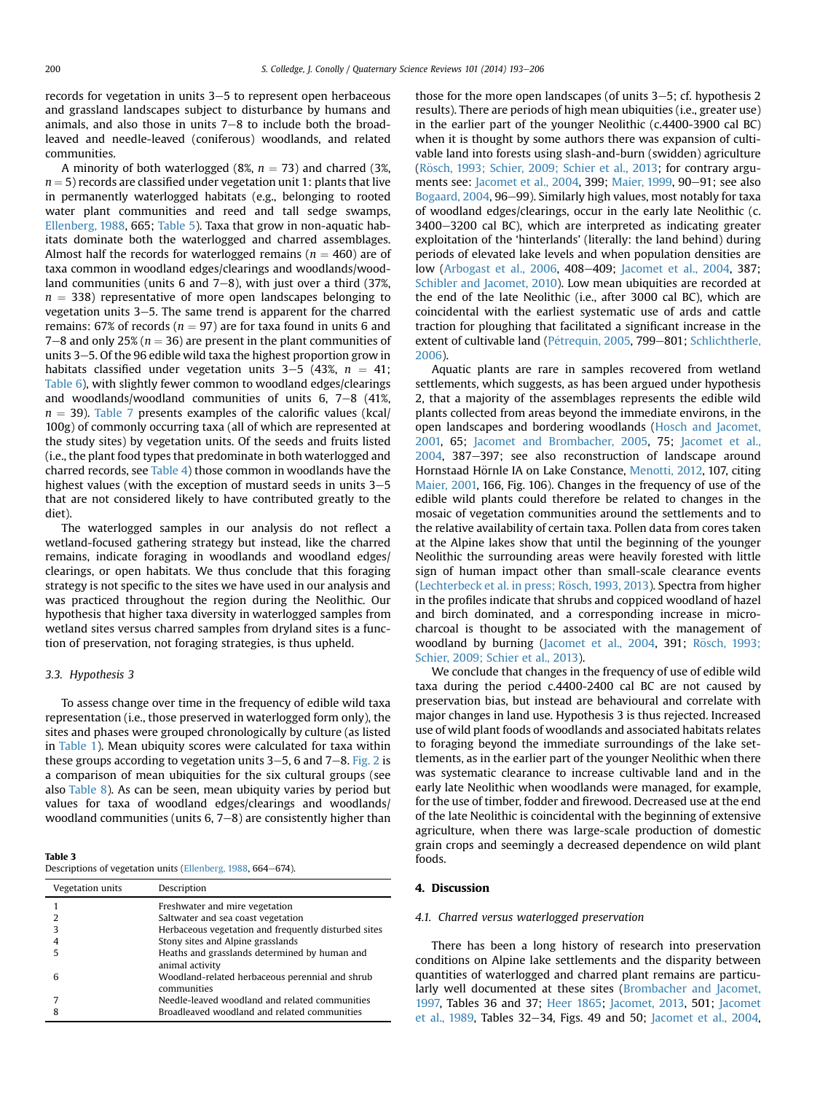<span id="page-7-0"></span>records for vegetation in units  $3-5$  to represent open herbaceous and grassland landscapes subject to disturbance by humans and animals, and also those in units  $7-8$  to include both the broadleaved and needle-leaved (coniferous) woodlands, and related communities.

A minority of both waterlogged (8%,  $n = 73$ ) and charred (3%,  $n = 5$ ) records are classified under vegetation unit 1: plants that live in permanently waterlogged habitats (e.g., belonging to rooted water plant communities and reed and tall sedge swamps, [Ellenberg, 1988,](#page-11-0) 665; [Table 5\)](#page-8-0). Taxa that grow in non-aquatic habitats dominate both the waterlogged and charred assemblages. Almost half the records for waterlogged remains ( $n = 460$ ) are of taxa common in woodland edges/clearings and woodlands/woodland communities (units 6 and  $7-8$ ), with just over a third (37%,  $n = 338$ ) representative of more open landscapes belonging to vegetation units  $3-5$ . The same trend is apparent for the charred remains: 67% of records ( $n = 97$ ) are for taxa found in units 6 and 7–8 and only 25% ( $n = 36$ ) are present in the plant communities of units 3-5. Of the 96 edible wild taxa the highest proportion grow in habitats classified under vegetation units  $3-5$  (43%,  $n = 41$ ; [Table 6\)](#page-8-0), with slightly fewer common to woodland edges/clearings and woodlands/woodland communities of units  $6, 7-8$  (41%,  $n = 39$ ). [Table 7](#page-9-0) presents examples of the calorific values (kcal/ 100g) of commonly occurring taxa (all of which are represented at the study sites) by vegetation units. Of the seeds and fruits listed (i.e., the plant food types that predominate in both waterlogged and charred records, see [Table 4](#page-8-0)) those common in woodlands have the highest values (with the exception of mustard seeds in units  $3-5$ that are not considered likely to have contributed greatly to the diet).

The waterlogged samples in our analysis do not reflect a wetland-focused gathering strategy but instead, like the charred remains, indicate foraging in woodlands and woodland edges/ clearings, or open habitats. We thus conclude that this foraging strategy is not specific to the sites we have used in our analysis and was practiced throughout the region during the Neolithic. Our hypothesis that higher taxa diversity in waterlogged samples from wetland sites versus charred samples from dryland sites is a function of preservation, not foraging strategies, is thus upheld.

## 3.3. Hypothesis 3

To assess change over time in the frequency of edible wild taxa representation (i.e., those preserved in waterlogged form only), the sites and phases were grouped chronologically by culture (as listed in [Table 1\)](#page-3-0). Mean ubiquity scores were calculated for taxa within these groups according to vegetation units  $3-5$ , 6 and  $7-8$ . [Fig. 2](#page-10-0) is a comparison of mean ubiquities for the six cultural groups (see also [Table 8\)](#page-9-0). As can be seen, mean ubiquity varies by period but values for taxa of woodland edges/clearings and woodlands/ woodland communities (units  $6, 7-8$ ) are consistently higher than

| Table 3                                                      |  |  |
|--------------------------------------------------------------|--|--|
| Descriptions of vegetation units (Ellenberg, 1988, 664–674). |  |  |

| Vegetation units | Description                                          |
|------------------|------------------------------------------------------|
|                  | Freshwater and mire vegetation                       |
| 2                | Saltwater and sea coast vegetation                   |
| 3                | Herbaceous vegetation and frequently disturbed sites |
|                  | Stony sites and Alpine grasslands                    |
| 5                | Heaths and grasslands determined by human and        |
|                  | animal activity                                      |
| 6                | Woodland-related herbaceous perennial and shrub      |
|                  | communities                                          |
| 7                | Needle-leaved woodland and related communities       |
| 8                | Broadleaved woodland and related communities         |

those for the more open landscapes (of units  $3-5$ ; cf. hypothesis 2 results). There are periods of high mean ubiquities (i.e., greater use) in the earlier part of the younger Neolithic (c.4400-3900 cal BC) when it is thought by some authors there was expansion of cultivable land into forests using slash-and-burn (swidden) agriculture (Rösch, 1993; Schier, 2009; Schier et al., 2013; for contrary argu-ments see: [Jacomet et al., 2004](#page-12-0), 399; [Maier, 1999](#page-12-0), 90-91; see also [Bogaard, 2004,](#page-11-0) 96–99). Similarly high values, most notably for taxa of woodland edges/clearings, occur in the early late Neolithic (c.  $3400-3200$  cal BC), which are interpreted as indicating greater exploitation of the 'hinterlands' (literally: the land behind) during periods of elevated lake levels and when population densities are low ([Arbogast et al., 2006,](#page-11-0) 408-409; [Jacomet et al., 2004](#page-12-0), 387; [Schibler and Jacomet, 2010\)](#page-12-0). Low mean ubiquities are recorded at the end of the late Neolithic (i.e., after 3000 cal BC), which are coincidental with the earliest systematic use of ards and cattle traction for ploughing that facilitated a significant increase in the extent of cultivable land (Pétrequin, 2005, 799-801; [Schlichtherle,](#page-13-0) [2006](#page-13-0)).

Aquatic plants are rare in samples recovered from wetland settlements, which suggests, as has been argued under hypothesis 2, that a majority of the assemblages represents the edible wild plants collected from areas beyond the immediate environs, in the open landscapes and bordering woodlands [\(Hosch and Jacomet,](#page-11-0) [2001,](#page-11-0) 65; [Jacomet and Brombacher, 2005,](#page-12-0) 75; [Jacomet et al.,](#page-12-0) [2004](#page-12-0), 387-397; see also reconstruction of landscape around Hornstaad Hörnle IA on Lake Constance, [Menotti, 2012](#page-12-0), 107, citing [Maier, 2001,](#page-12-0) 166, Fig. 106). Changes in the frequency of use of the edible wild plants could therefore be related to changes in the mosaic of vegetation communities around the settlements and to the relative availability of certain taxa. Pollen data from cores taken at the Alpine lakes show that until the beginning of the younger Neolithic the surrounding areas were heavily forested with little sign of human impact other than small-scale clearance events (Lechterbeck et al. in press; Rösch, 1993, 2013). Spectra from higher in the profiles indicate that shrubs and coppiced woodland of hazel and birch dominated, and a corresponding increase in microcharcoal is thought to be associated with the management of woodland by burning [\(Jacomet et al., 2004,](#page-12-0) 391; Rösch, 1993; [Schier, 2009; Schier et al., 2013](#page-12-0)).

We conclude that changes in the frequency of use of edible wild taxa during the period c.4400-2400 cal BC are not caused by preservation bias, but instead are behavioural and correlate with major changes in land use. Hypothesis 3 is thus rejected. Increased use of wild plant foods of woodlands and associated habitats relates to foraging beyond the immediate surroundings of the lake settlements, as in the earlier part of the younger Neolithic when there was systematic clearance to increase cultivable land and in the early late Neolithic when woodlands were managed, for example, for the use of timber, fodder and firewood. Decreased use at the end of the late Neolithic is coincidental with the beginning of extensive agriculture, when there was large-scale production of domestic grain crops and seemingly a decreased dependence on wild plant foods.

## 4. Discussion

#### 4.1. Charred versus waterlogged preservation

There has been a long history of research into preservation conditions on Alpine lake settlements and the disparity between quantities of waterlogged and charred plant remains are particularly well documented at these sites ([Brombacher and Jacomet,](#page-11-0) [1997,](#page-11-0) Tables 36 and 37; [Heer 1865](#page-11-0); [Jacomet, 2013](#page-11-0), 501; [Jacomet](#page-11-0) [et al., 1989](#page-11-0), Tables 32–34, Figs. 49 and 50; [Jacomet et al., 2004,](#page-12-0)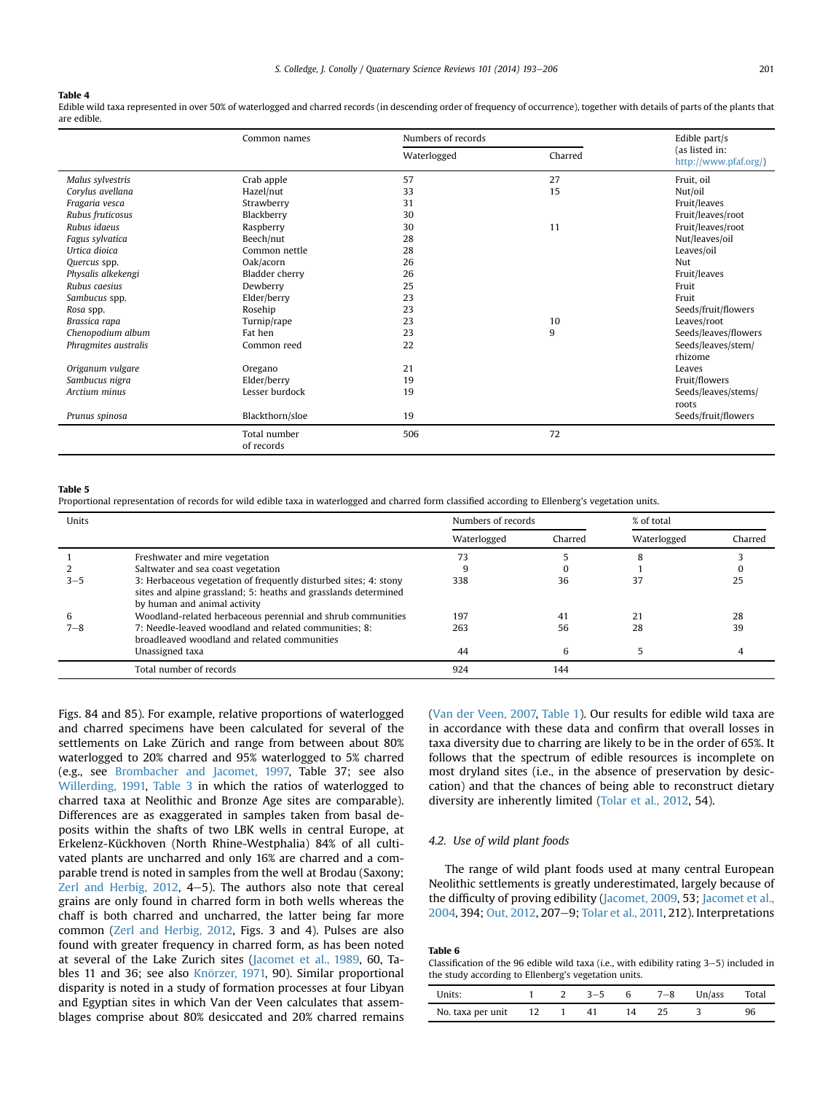#### <span id="page-8-0"></span>Table 4

Edible wild taxa represented in over 50% of waterlogged and charred records (in descending order of frequency of occurrence), together with details of parts of the plants that are edible.

|                      | Common names    | Numbers of records |         | Edible part/s                           |
|----------------------|-----------------|--------------------|---------|-----------------------------------------|
|                      |                 | Waterlogged        | Charred | (as listed in:<br>http://www.pfaf.org/) |
| Malus sylvestris     | Crab apple      | 57                 | 27      | Fruit, oil                              |
| Corylus avellana     | Hazel/nut       | 33                 | 15      | Nut/oil                                 |
| Fragaria vesca       | Strawberry      | 31                 |         | Fruit/leaves                            |
| Rubus fruticosus     | Blackberry      | 30                 |         | Fruit/leaves/root                       |
| Rubus idaeus         | Raspberry       | 30                 | 11      | Fruit/leaves/root                       |
| Fagus sylvatica      | Beech/nut       | 28                 |         | Nut/leaves/oil                          |
| Urtica dioica        | Common nettle   | 28                 |         | Leaves/oil                              |
| Quercus spp.         | Oak/acorn       | 26                 |         | Nut                                     |
| Physalis alkekengi   | Bladder cherry  | 26                 |         | Fruit/leaves                            |
| Rubus caesius        | Dewberry        | 25                 |         | Fruit                                   |
| Sambucus spp.        | Elder/berry     | 23                 |         | Fruit                                   |
| Rosa spp.            | Rosehip         | 23                 |         | Seeds/fruit/flowers                     |
| Brassica rapa        | Turnip/rape     | 23                 | 10      | Leaves/root                             |
| Chenopodium album    | Fat hen         | 23                 | 9       | Seeds/leaves/flowers                    |
| Phragmites australis | Common reed     | 22                 |         | Seeds/leaves/stem/                      |
|                      |                 |                    |         | rhizome                                 |
| Origanum vulgare     | Oregano         | 21                 |         | Leaves                                  |
| Sambucus nigra       | Elder/berry     | 19                 |         | Fruit/flowers                           |
| Arctium minus        | Lesser burdock  | 19                 |         | Seeds/leaves/stems/                     |
|                      |                 |                    |         | roots                                   |
| Prunus spinosa       | Blackthorn/sloe | 19                 |         | Seeds/fruit/flowers                     |
|                      | Total number    | 506                | 72      |                                         |
|                      | of records      |                    |         |                                         |

Table 5

Proportional representation of records for wild edible taxa in waterlogged and charred form classified according to Ellenberg's vegetation units.

| Units   |                                                                                                                                                                     | Numbers of records |         | % of total  |         |
|---------|---------------------------------------------------------------------------------------------------------------------------------------------------------------------|--------------------|---------|-------------|---------|
|         |                                                                                                                                                                     | Waterlogged        | Charred | Waterlogged | Charred |
|         | Freshwater and mire vegetation                                                                                                                                      | 73                 |         |             |         |
|         | Saltwater and sea coast vegetation                                                                                                                                  |                    |         |             |         |
| $3 - 5$ | 3: Herbaceous vegetation of frequently disturbed sites; 4: stony<br>sites and alpine grassland; 5; heaths and grasslands determined<br>by human and animal activity | 338                | 36      | 37          | 25      |
| 6       | Woodland-related herbaceous perennial and shrub communities                                                                                                         | 197                | 41      | 21          | 28      |
| $7 - 8$ | 7: Needle-leaved woodland and related communities: 8:<br>broadleaved woodland and related communities                                                               | 263                | 56      | 28          | 39      |
|         | Unassigned taxa                                                                                                                                                     | 44                 |         |             |         |
|         | Total number of records                                                                                                                                             | 924                | 144     |             |         |

Figs. 84 and 85). For example, relative proportions of waterlogged and charred specimens have been calculated for several of the settlements on Lake Zürich and range from between about 80% waterlogged to 20% charred and 95% waterlogged to 5% charred (e.g., see [Brombacher and Jacomet, 1997,](#page-11-0) Table 37; see also [Willerding, 1991,](#page-13-0) [Table 3](#page-7-0) in which the ratios of waterlogged to charred taxa at Neolithic and Bronze Age sites are comparable). Differences are as exaggerated in samples taken from basal deposits within the shafts of two LBK wells in central Europe, at Erkelenz-Kückhoven (North Rhine-Westphalia) 84% of all cultivated plants are uncharred and only 16% are charred and a comparable trend is noted in samples from the well at Brodau (Saxony; Zerl and Herbig,  $2012$ ,  $4-5$ ). The authors also note that cereal grains are only found in charred form in both wells whereas the chaff is both charred and uncharred, the latter being far more common ([Zerl and Herbig, 2012](#page-13-0), Figs. 3 and 4). Pulses are also found with greater frequency in charred form, as has been noted at several of the Lake Zurich sites ([Jacomet et al., 1989](#page-11-0), 60, Ta-bles 11 and 36; see also [Kn](#page-12-0)ö[rzer, 1971](#page-12-0), 90). Similar proportional disparity is noted in a study of formation processes at four Libyan and Egyptian sites in which Van der Veen calculates that assemblages comprise about 80% desiccated and 20% charred remains ([Van der Veen, 2007,](#page-13-0) [Table 1](#page-3-0)). Our results for edible wild taxa are in accordance with these data and confirm that overall losses in taxa diversity due to charring are likely to be in the order of 65%. It follows that the spectrum of edible resources is incomplete on most dryland sites (i.e., in the absence of preservation by desiccation) and that the chances of being able to reconstruct dietary diversity are inherently limited ([Tolar et al., 2012](#page-13-0), 54).

#### 4.2. Use of wild plant foods

The range of wild plant foods used at many central European Neolithic settlements is greatly underestimated, largely because of the difficulty of proving edibility ([Jacomet, 2009](#page-11-0), 53; [Jacomet et al.,](#page-12-0) [2004,](#page-12-0) 394; [Out, 2012](#page-12-0), 207-9; [Tolar et al., 2011,](#page-13-0) 212). Interpretations

#### Table 6

Classification of the 96 edible wild taxa (i.e., with edibility rating  $3-5$ ) included in the study according to Ellenberg's vegetation units.

| Units:               |  | 3–5 | 6 | $7 - 8$ | Un/ass | Total |
|----------------------|--|-----|---|---------|--------|-------|
| No. taxa per unit 12 |  | 41  |   |         |        | 96    |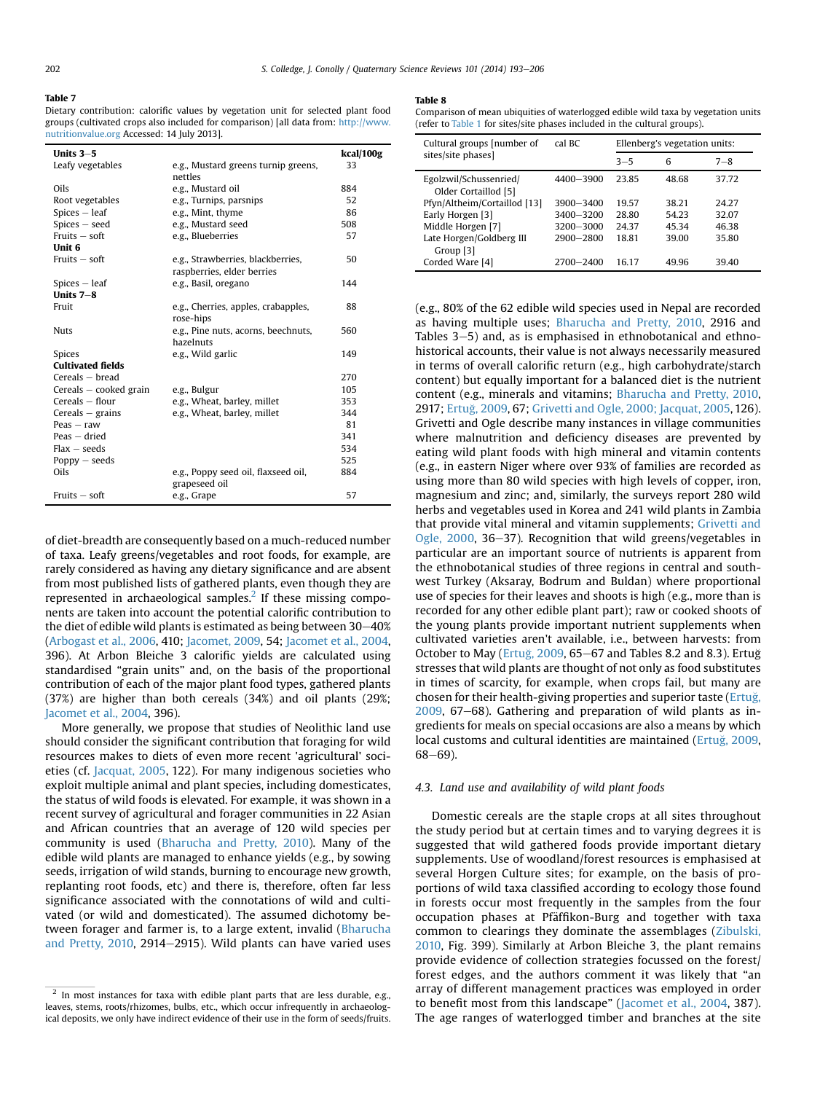<span id="page-9-0"></span>Table 7

Dietary contribution: calorific values by vegetation unit for selected plant food groups (cultivated crops also included for comparison) [all data from: [http://www.](http://www.nutritionvalue.org) [nutritionvalue.org](http://www.nutritionvalue.org) Accessed: 14 July 2013].

| Units $3-5$              |                                                                 | kcal/100g |
|--------------------------|-----------------------------------------------------------------|-----------|
| Leafy vegetables         | e.g., Mustard greens turnip greens,<br>nettles                  | 33        |
| Oils                     | e.g., Mustard oil                                               | 884       |
| Root vegetables          | e.g., Turnips, parsnips                                         | 52        |
| $Spices - leaf$          | e.g., Mint, thyme                                               | 86        |
| $Spices - seed$          | e.g., Mustard seed                                              | 508       |
| Fruits $-$ soft          | e.g., Blueberries                                               | 57        |
| Unit 6                   |                                                                 |           |
| $Fruits - soft$          | e.g., Strawberries, blackberries,<br>raspberries, elder berries | 50        |
| $Spices - leaf$          | e.g., Basil, oregano                                            | 144       |
| Units $7-8$              |                                                                 |           |
| Fruit                    | e.g., Cherries, apples, crabapples,<br>rose-hips                | 88        |
| <b>Nuts</b>              | e.g., Pine nuts, acorns, beechnuts,<br>hazelnuts                | 560       |
| <b>Spices</b>            | e.g., Wild garlic                                               | 149       |
| <b>Cultivated fields</b> |                                                                 |           |
| $Cereals - bread$        |                                                                 | 270       |
| Cereals - cooked grain   | e.g., Bulgur                                                    | 105       |
| $Cereals - flour$        | e.g., Wheat, barley, millet                                     | 353       |
| $Cereals - grains$       | e.g., Wheat, barley, millet                                     | 344       |
| $Pear - raw$             |                                                                 | 81        |
| $Peas - dried$           |                                                                 | 341       |
| $Flax - seeds$           |                                                                 | 534       |
| $Poppy - seeds$          |                                                                 | 525       |
| Oils                     | e.g., Poppy seed oil, flaxseed oil,<br>grapeseed oil            | 884       |
| Fruits $-$ soft          | e.g., Grape                                                     | 57        |

of diet-breadth are consequently based on a much-reduced number of taxa. Leafy greens/vegetables and root foods, for example, are rarely considered as having any dietary significance and are absent from most published lists of gathered plants, even though they are represented in archaeological samples.<sup>2</sup> If these missing components are taken into account the potential calorific contribution to the diet of edible wild plants is estimated as being between  $30-40%$ ([Arbogast et al., 2006](#page-11-0), 410; [Jacomet, 2009](#page-11-0), 54; [Jacomet et al., 2004,](#page-12-0) 396). At Arbon Bleiche 3 calorific yields are calculated using standardised "grain units" and, on the basis of the proportional contribution of each of the major plant food types, gathered plants (37%) are higher than both cereals (34%) and oil plants (29%; [Jacomet et al., 2004](#page-12-0), 396).

More generally, we propose that studies of Neolithic land use should consider the significant contribution that foraging for wild resources makes to diets of even more recent 'agricultural' societies (cf. [Jacquat, 2005,](#page-11-0) 122). For many indigenous societies who exploit multiple animal and plant species, including domesticates, the status of wild foods is elevated. For example, it was shown in a recent survey of agricultural and forager communities in 22 Asian and African countries that an average of 120 wild species per community is used [\(Bharucha and Pretty, 2010](#page-11-0)). Many of the edible wild plants are managed to enhance yields (e.g., by sowing seeds, irrigation of wild stands, burning to encourage new growth, replanting root foods, etc) and there is, therefore, often far less significance associated with the connotations of wild and cultivated (or wild and domesticated). The assumed dichotomy between forager and farmer is, to a large extent, invalid ([Bharucha](#page-11-0) [and Pretty, 2010,](#page-11-0) 2914-2915). Wild plants can have varied uses

#### Table 8

Comparison of mean ubiquities of waterlogged edible wild taxa by vegetation units (refer to [Table 1](#page-3-0) for sites/site phases included in the cultural groups).

| Cultural groups [number of                     | cal BC        | Ellenberg's vegetation units: |       |         |  |
|------------------------------------------------|---------------|-------------------------------|-------|---------|--|
| sites/site phases]                             |               | $3 - 5$                       | 6     | $7 - 8$ |  |
| Egolzwil/Schussenried/<br>Older Cortaillod [5] | $4400 - 3900$ | 23.85                         | 48.68 | 37.72   |  |
| Pfyn/Altheim/Cortaillod [13]                   | 3900-3400     | 19.57                         | 38.21 | 24.27   |  |
| Early Horgen [3]                               | 3400-3200     | 28.80                         | 54.23 | 32.07   |  |
| Middle Horgen [7]                              | 3200-3000     | 2437                          | 4534  | 46.38   |  |
| Late Horgen/Goldberg III<br>Group [3]          | 2900-2800     | 18.81                         | 39.00 | 35.80   |  |
| Corded Ware [4]                                | 2700-2400     | 16.17                         | 49.96 | 39.40   |  |

(e.g., 80% of the 62 edible wild species used in Nepal are recorded as having multiple uses; [Bharucha and Pretty, 2010,](#page-11-0) 2916 and Tables  $3-5$ ) and, as is emphasised in ethnobotanical and ethnohistorical accounts, their value is not always necessarily measured in terms of overall calorific return (e.g., high carbohydrate/starch content) but equally important for a balanced diet is the nutrient content (e.g., minerals and vitamins; [Bharucha and Pretty, 2010,](#page-11-0) 2917; Ertuğ, 2009, 67; [Grivetti and Ogle, 2000; Jacquat, 2005,](#page-11-0) 126). Grivetti and Ogle describe many instances in village communities where malnutrition and deficiency diseases are prevented by eating wild plant foods with high mineral and vitamin contents (e.g., in eastern Niger where over 93% of families are recorded as using more than 80 wild species with high levels of copper, iron, magnesium and zinc; and, similarly, the surveys report 280 wild herbs and vegetables used in Korea and 241 wild plants in Zambia that provide vital mineral and vitamin supplements; [Grivetti and](#page-11-0) Ogle,  $2000$ ,  $36-37$ ). Recognition that wild greens/vegetables in particular are an important source of nutrients is apparent from the ethnobotanical studies of three regions in central and southwest Turkey (Aksaray, Bodrum and Buldan) where proportional use of species for their leaves and shoots is high (e.g., more than is recorded for any other edible plant part); raw or cooked shoots of the young plants provide important nutrient supplements when cultivated varieties aren't available, i.e., between harvests: from October to May (Ertuğ, 2009, 65–67 and Tables 8.2 and 8.3). Ertuğ stresses that wild plants are thought of not only as food substitutes in times of scarcity, for example, when crops fail, but many are chosen for their health-giving properties and superior taste [\(Ertu](#page-11-0)g[,](#page-11-0)  $2009$ , 67–68). Gathering and preparation of wild plants as ingredients for meals on special occasions are also a means by which local customs and cultural identities are maintained [\(Ertug, 2009](#page-11-0),  $68 - 69$ ).

#### 4.3. Land use and availability of wild plant foods

Domestic cereals are the staple crops at all sites throughout the study period but at certain times and to varying degrees it is suggested that wild gathered foods provide important dietary supplements. Use of woodland/forest resources is emphasised at several Horgen Culture sites; for example, on the basis of proportions of wild taxa classified according to ecology those found in forests occur most frequently in the samples from the four occupation phases at Pfäffikon-Burg and together with taxa common to clearings they dominate the assemblages [\(Zibulski,](#page-13-0) [2010](#page-13-0), Fig. 399). Similarly at Arbon Bleiche 3, the plant remains provide evidence of collection strategies focussed on the forest/ forest edges, and the authors comment it was likely that "an array of different management practices was employed in order to benefit most from this landscape" [\(Jacomet et al., 2004](#page-12-0), 387). The age ranges of waterlogged timber and branches at the site

 $2$  In most instances for taxa with edible plant parts that are less durable, e.g., leaves, stems, roots/rhizomes, bulbs, etc., which occur infrequently in archaeological deposits, we only have indirect evidence of their use in the form of seeds/fruits.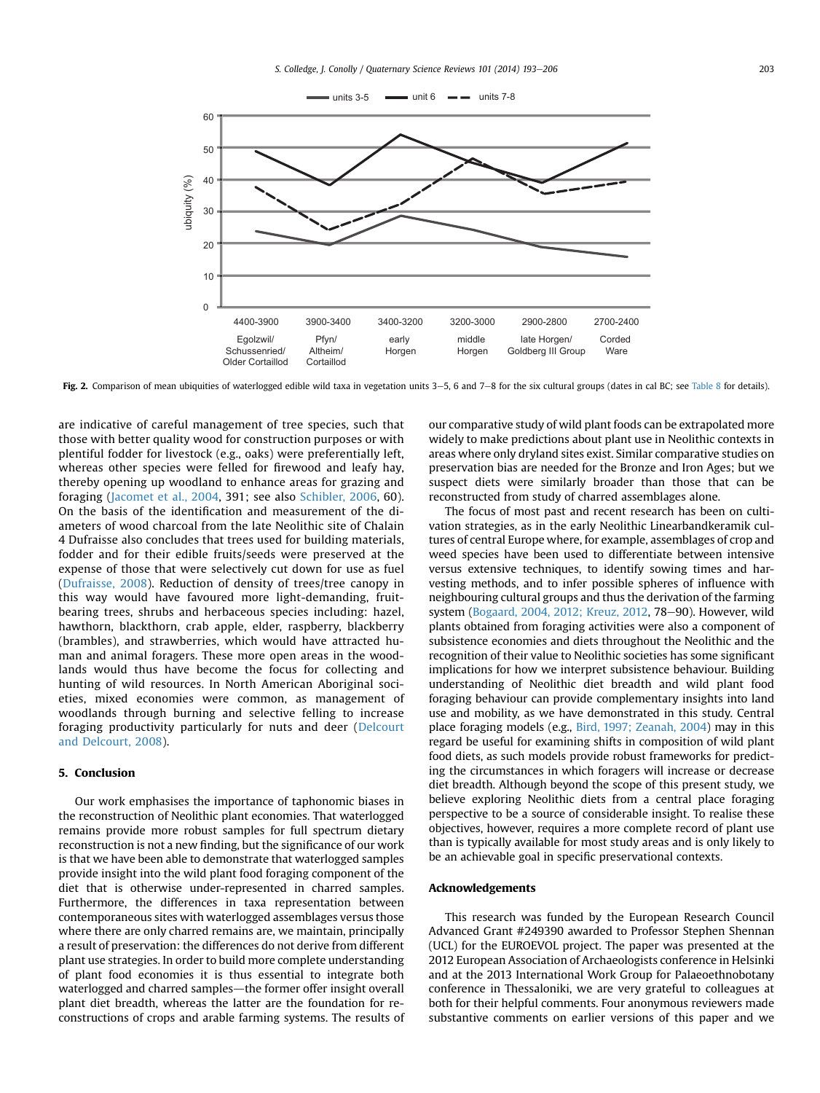<span id="page-10-0"></span>

Fig. 2. Comparison of mean ubiquities of waterlogged edible wild taxa in vegetation units 3–5, 6 and 7–8 for the six cultural groups (dates in cal BC; see [Table 8](#page-9-0) for details).

are indicative of careful management of tree species, such that those with better quality wood for construction purposes or with plentiful fodder for livestock (e.g., oaks) were preferentially left, whereas other species were felled for firewood and leafy hay, thereby opening up woodland to enhance areas for grazing and foraging ([Jacomet et al., 2004,](#page-12-0) 391; see also [Schibler, 2006,](#page-12-0) 60). On the basis of the identification and measurement of the diameters of wood charcoal from the late Neolithic site of Chalain 4 Dufraisse also concludes that trees used for building materials, fodder and for their edible fruits/seeds were preserved at the expense of those that were selectively cut down for use as fuel ([Dufraisse, 2008](#page-11-0)). Reduction of density of trees/tree canopy in this way would have favoured more light-demanding, fruitbearing trees, shrubs and herbaceous species including: hazel, hawthorn, blackthorn, crab apple, elder, raspberry, blackberry (brambles), and strawberries, which would have attracted human and animal foragers. These more open areas in the woodlands would thus have become the focus for collecting and hunting of wild resources. In North American Aboriginal societies, mixed economies were common, as management of woodlands through burning and selective felling to increase foraging productivity particularly for nuts and deer [\(Delcourt](#page-11-0) [and Delcourt, 2008\)](#page-11-0).

## 5. Conclusion

Our work emphasises the importance of taphonomic biases in the reconstruction of Neolithic plant economies. That waterlogged remains provide more robust samples for full spectrum dietary reconstruction is not a new finding, but the significance of our work is that we have been able to demonstrate that waterlogged samples provide insight into the wild plant food foraging component of the diet that is otherwise under-represented in charred samples. Furthermore, the differences in taxa representation between contemporaneous sites with waterlogged assemblages versus those where there are only charred remains are, we maintain, principally a result of preservation: the differences do not derive from different plant use strategies. In order to build more complete understanding of plant food economies it is thus essential to integrate both waterlogged and charred samples-the former offer insight overall plant diet breadth, whereas the latter are the foundation for reconstructions of crops and arable farming systems. The results of our comparative study of wild plant foods can be extrapolated more widely to make predictions about plant use in Neolithic contexts in areas where only dryland sites exist. Similar comparative studies on preservation bias are needed for the Bronze and Iron Ages; but we suspect diets were similarly broader than those that can be reconstructed from study of charred assemblages alone.

The focus of most past and recent research has been on cultivation strategies, as in the early Neolithic Linearbandkeramik cultures of central Europe where, for example, assemblages of crop and weed species have been used to differentiate between intensive versus extensive techniques, to identify sowing times and harvesting methods, and to infer possible spheres of influence with neighbouring cultural groups and thus the derivation of the farming system ([Bogaard, 2004, 2012; Kreuz, 2012,](#page-11-0) 78-90). However, wild plants obtained from foraging activities were also a component of subsistence economies and diets throughout the Neolithic and the recognition of their value to Neolithic societies has some significant implications for how we interpret subsistence behaviour. Building understanding of Neolithic diet breadth and wild plant food foraging behaviour can provide complementary insights into land use and mobility, as we have demonstrated in this study. Central place foraging models (e.g., [Bird, 1997; Zeanah, 2004](#page-11-0)) may in this regard be useful for examining shifts in composition of wild plant food diets, as such models provide robust frameworks for predicting the circumstances in which foragers will increase or decrease diet breadth. Although beyond the scope of this present study, we believe exploring Neolithic diets from a central place foraging perspective to be a source of considerable insight. To realise these objectives, however, requires a more complete record of plant use than is typically available for most study areas and is only likely to be an achievable goal in specific preservational contexts.

#### Acknowledgements

This research was funded by the European Research Council Advanced Grant #249390 awarded to Professor Stephen Shennan (UCL) for the EUROEVOL project. The paper was presented at the 2012 European Association of Archaeologists conference in Helsinki and at the 2013 International Work Group for Palaeoethnobotany conference in Thessaloniki, we are very grateful to colleagues at both for their helpful comments. Four anonymous reviewers made substantive comments on earlier versions of this paper and we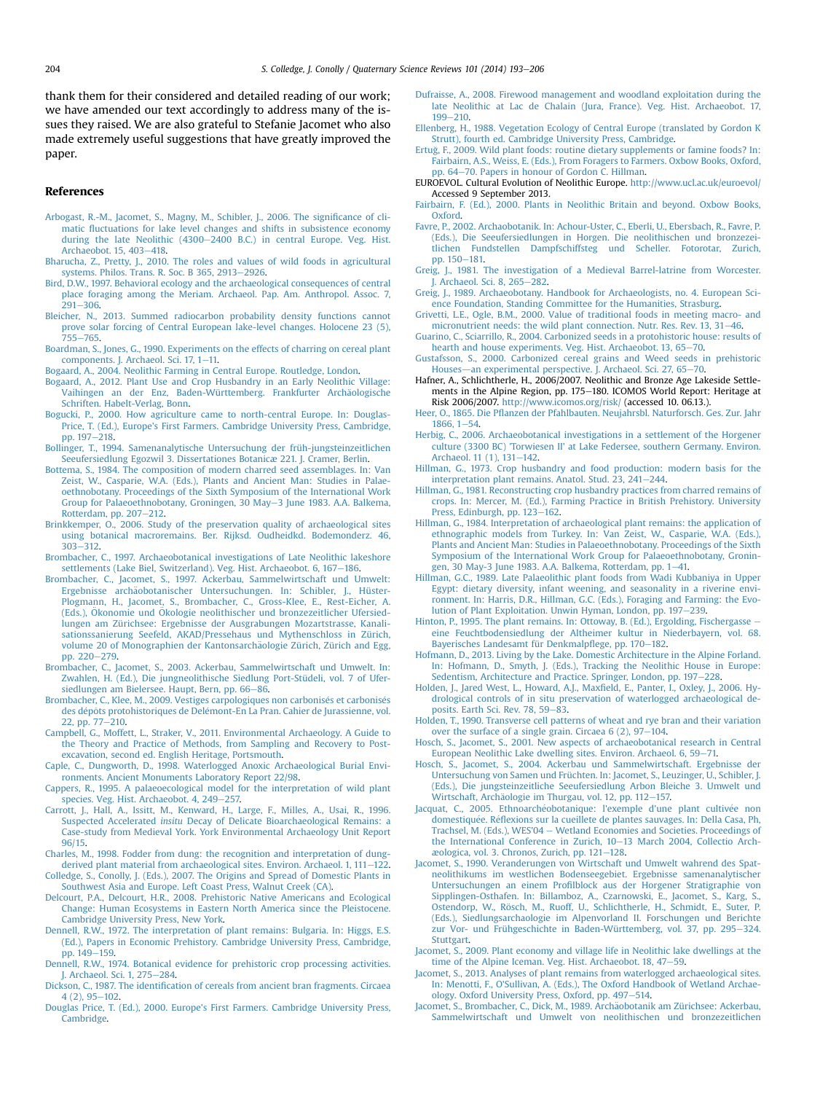<span id="page-11-0"></span>thank them for their considered and detailed reading of our work; we have amended our text accordingly to address many of the issues they raised. We are also grateful to Stefanie Jacomet who also made extremely useful suggestions that have greatly improved the paper.

#### References

- [Arbogast, R.-M., Jacomet, S., Magny, M., Schibler, J., 2006. The signi](http://refhub.elsevier.com/S0277-3791(14)00288-1/sref1)ficance of climatic fl[uctuations for lake level changes and shifts in subsistence economy](http://refhub.elsevier.com/S0277-3791(14)00288-1/sref1) [during the late Neolithic \(4300](http://refhub.elsevier.com/S0277-3791(14)00288-1/sref1)-[2400 B.C.\) in central Europe. Veg. Hist.](http://refhub.elsevier.com/S0277-3791(14)00288-1/sref1) [Archaeobot. 15, 403](http://refhub.elsevier.com/S0277-3791(14)00288-1/sref1)-[418](http://refhub.elsevier.com/S0277-3791(14)00288-1/sref1).
- [Bharucha, Z., Pretty, J., 2010. The roles and values of wild foods in agricultural](http://refhub.elsevier.com/S0277-3791(14)00288-1/sref2) [systems. Philos. Trans. R. Soc. B 365, 2913](http://refhub.elsevier.com/S0277-3791(14)00288-1/sref2)-[2926.](http://refhub.elsevier.com/S0277-3791(14)00288-1/sref2)
- [Bird, D.W., 1997. Behavioral ecology and the archaeological consequences of central](http://refhub.elsevier.com/S0277-3791(14)00288-1/sref3) [place foraging among the Meriam. Archaeol. Pap. Am. Anthropol. Assoc. 7,](http://refhub.elsevier.com/S0277-3791(14)00288-1/sref3)  $291 - 306$  $291 - 306$ .
- [Bleicher, N., 2013. Summed radiocarbon probability density functions cannot](http://refhub.elsevier.com/S0277-3791(14)00288-1/sref4) [prove solar forcing of Central European lake-level changes. Holocene 23 \(5\),](http://refhub.elsevier.com/S0277-3791(14)00288-1/sref4) [755](http://refhub.elsevier.com/S0277-3791(14)00288-1/sref4)-[765](http://refhub.elsevier.com/S0277-3791(14)00288-1/sref4).
- [Boardman, S., Jones, G., 1990. Experiments on the effects of charring on cereal plant](http://refhub.elsevier.com/S0277-3791(14)00288-1/sref5) [components. J. Archaeol. Sci. 17, 1](http://refhub.elsevier.com/S0277-3791(14)00288-1/sref5)-[11.](http://refhub.elsevier.com/S0277-3791(14)00288-1/sref5)
- [Bogaard, A., 2004. Neolithic Farming in Central Europe. Routledge, London](http://refhub.elsevier.com/S0277-3791(14)00288-1/sref6).
- [Bogaard, A., 2012. Plant Use and Crop Husbandry in an Early Neolithic Village:](http://refhub.elsevier.com/S0277-3791(14)00288-1/sref7) [Vaihingen an der Enz, Baden-Württemberg. Frankfurter Arch](http://refhub.elsevier.com/S0277-3791(14)00288-1/sref7)ä[ologische](http://refhub.elsevier.com/S0277-3791(14)00288-1/sref7) [Schriften. Habelt-Verlag, Bonn.](http://refhub.elsevier.com/S0277-3791(14)00288-1/sref7)
- [Bogucki, P., 2000. How agriculture came to north-central Europe. In: Douglas-](http://refhub.elsevier.com/S0277-3791(14)00288-1/sref127)[Price, T. \(Ed.\), Europe's First Farmers. Cambridge University Press, Cambridge,](http://refhub.elsevier.com/S0277-3791(14)00288-1/sref127) [pp. 197](http://refhub.elsevier.com/S0277-3791(14)00288-1/sref127)-[218](http://refhub.elsevier.com/S0277-3791(14)00288-1/sref127).
- [Bollinger, T., 1994. Samenanalytische Untersuchung der früh-jungsteinzeitlichen](http://refhub.elsevier.com/S0277-3791(14)00288-1/sref8) [Seeufersiedlung Egozwil 3. Dissertationes Botanicæ 221. J. Cramer, Berlin](http://refhub.elsevier.com/S0277-3791(14)00288-1/sref8).
- [Bottema, S., 1984. The composition of modern charred seed assemblages. In: Van](http://refhub.elsevier.com/S0277-3791(14)00288-1/sref9) [Zeist, W., Casparie, W.A. \(Eds.\), Plants and Ancient Man: Studies in Palae](http://refhub.elsevier.com/S0277-3791(14)00288-1/sref9)[oethnobotany. Proceedings of the Sixth Symposium of the International Work](http://refhub.elsevier.com/S0277-3791(14)00288-1/sref9) [Group for Palaeoethnobotany, Groningen, 30 May](http://refhub.elsevier.com/S0277-3791(14)00288-1/sref9)-[3 June 1983. A.A. Balkema,](http://refhub.elsevier.com/S0277-3791(14)00288-1/sref9) [Rotterdam, pp. 207](http://refhub.elsevier.com/S0277-3791(14)00288-1/sref9)-[212.](http://refhub.elsevier.com/S0277-3791(14)00288-1/sref9)
- [Brinkkemper, O., 2006. Study of the preservation quality of archaeological sites](http://refhub.elsevier.com/S0277-3791(14)00288-1/sref10) [using botanical macroremains. Ber. Rijksd. Oudheidkd. Bodemonderz. 46,](http://refhub.elsevier.com/S0277-3791(14)00288-1/sref10) [303](http://refhub.elsevier.com/S0277-3791(14)00288-1/sref10)-[312.](http://refhub.elsevier.com/S0277-3791(14)00288-1/sref10)
- [Brombacher, C., 1997. Archaeobotanical investigations of Late Neolithic lakeshore](http://refhub.elsevier.com/S0277-3791(14)00288-1/sref11) [settlements \(Lake Biel, Switzerland\). Veg. Hist. Archaeobot. 6, 167](http://refhub.elsevier.com/S0277-3791(14)00288-1/sref11)-[186.](http://refhub.elsevier.com/S0277-3791(14)00288-1/sref11)
- [Brombacher, C., Jacomet, S., 1997. Ackerbau, Sammelwirtschaft und Umwelt:](http://refhub.elsevier.com/S0277-3791(14)00288-1/sref12) Ergebnisse archäobotanischer Untersuchungen. In: Schibler, J., Hüster-[Plogmann, H., Jacomet, S., Brombacher, C., Gross-Klee, E., Rest-Eicher, A.](http://refhub.elsevier.com/S0277-3791(14)00288-1/sref12) [\(Eds.\),](http://refhub.elsevier.com/S0277-3791(14)00288-1/sref12) Ö[konomie und](http://refhub.elsevier.com/S0277-3791(14)00288-1/sref12) Ökologie neolithischer und bronzezeitlicher Ufersied[lungen am Zürichsee: Ergebnisse der Ausgrabungen Mozartstrasse, Kanali](http://refhub.elsevier.com/S0277-3791(14)00288-1/sref12)[sationssanierung Seefeld, AKAD/Pressehaus und Mythenschloss in Zürich,](http://refhub.elsevier.com/S0277-3791(14)00288-1/sref12) volume 20 of Monographien der Kantonsarchäologie Zürich, Zürich and Egg, pp.  $220 - 279$ .
- [Brombacher, C., Jacomet, S., 2003. Ackerbau, Sammelwirtschaft und Umwelt. In:](http://refhub.elsevier.com/S0277-3791(14)00288-1/sref13) [Zwahlen, H. \(Ed.\), Die jungneolithische Siedlung Port-Stüdeli, vol. 7 of Ufer](http://refhub.elsevier.com/S0277-3791(14)00288-1/sref13)[siedlungen am Bielersee. Haupt, Bern, pp. 66](http://refhub.elsevier.com/S0277-3791(14)00288-1/sref13)-[86.](http://refhub.elsevier.com/S0277-3791(14)00288-1/sref13)
- [Brombacher, C., Klee, M., 2009. Vestiges carpologiques non carbonis](http://refhub.elsevier.com/S0277-3791(14)00288-1/sref14)é[s et carbonis](http://refhub.elsevier.com/S0277-3791(14)00288-1/sref14)é[s](http://refhub.elsevier.com/S0277-3791(14)00288-1/sref14) des dépô[ts protohistoriques de Del](http://refhub.elsevier.com/S0277-3791(14)00288-1/sref14)émont-En La Pran. Cahier de Jurassienne, vol. [22, pp. 77](http://refhub.elsevier.com/S0277-3791(14)00288-1/sref14)-[210.](http://refhub.elsevier.com/S0277-3791(14)00288-1/sref14)
- [Campbell, G., Moffett, L., Straker, V., 2011. Environmental Archaeology. A Guide to](http://refhub.elsevier.com/S0277-3791(14)00288-1/sref15) [the Theory and Practice of Methods, from Sampling and Recovery to Post](http://refhub.elsevier.com/S0277-3791(14)00288-1/sref15)[excavation, second ed. English Heritage, Portsmouth](http://refhub.elsevier.com/S0277-3791(14)00288-1/sref15).
- [Caple, C., Dungworth, D., 1998. Waterlogged Anoxic Archaeological Burial Envi](http://refhub.elsevier.com/S0277-3791(14)00288-1/sref16)[ronments. Ancient Monuments Laboratory Report 22/98.](http://refhub.elsevier.com/S0277-3791(14)00288-1/sref16)
- [Cappers, R., 1995. A palaeoecological model for the interpretation of wild plant](http://refhub.elsevier.com/S0277-3791(14)00288-1/sref17) [species. Veg. Hist. Archaeobot. 4, 249](http://refhub.elsevier.com/S0277-3791(14)00288-1/sref17)-[257.](http://refhub.elsevier.com/S0277-3791(14)00288-1/sref17)
- [Carrott, J., Hall, A., Issitt, M., Kenward, H., Large, F., Milles, A., Usai, R., 1996.](http://refhub.elsevier.com/S0277-3791(14)00288-1/sref18) Suspected Accelerated insitu [Decay of Delicate Bioarchaeological Remains: a](http://refhub.elsevier.com/S0277-3791(14)00288-1/sref18) [Case-study from Medieval York. York Environmental Archaeology Unit Report](http://refhub.elsevier.com/S0277-3791(14)00288-1/sref18) [96/15.](http://refhub.elsevier.com/S0277-3791(14)00288-1/sref18)
- [Charles, M., 1998. Fodder from dung: the recognition and interpretation of dung](http://refhub.elsevier.com/S0277-3791(14)00288-1/sref19)[derived plant material from archaeological sites. Environ. Archaeol. 1, 111](http://refhub.elsevier.com/S0277-3791(14)00288-1/sref19)-[122](http://refhub.elsevier.com/S0277-3791(14)00288-1/sref19). [Colledge, S., Conolly, J. \(Eds.\), 2007. The Origins and Spread of Domestic Plants in](http://refhub.elsevier.com/S0277-3791(14)00288-1/sref20)
- [Southwest Asia and Europe. Left Coast Press, Walnut Creek \(CA\).](http://refhub.elsevier.com/S0277-3791(14)00288-1/sref20) [Delcourt, P.A., Delcourt, H.R., 2008. Prehistoric Native Americans and Ecological](http://refhub.elsevier.com/S0277-3791(14)00288-1/sref21)
- [Change: Human Ecosystems in Eastern North America since the Pleistocene.](http://refhub.elsevier.com/S0277-3791(14)00288-1/sref21) [Cambridge University Press, New York.](http://refhub.elsevier.com/S0277-3791(14)00288-1/sref21)
- [Dennell, R.W., 1972. The interpretation of plant remains: Bulgaria. In: Higgs, E.S.](http://refhub.elsevier.com/S0277-3791(14)00288-1/sref22) [\(Ed.\), Papers in Economic Prehistory. Cambridge University Press, Cambridge,](http://refhub.elsevier.com/S0277-3791(14)00288-1/sref22) [pp. 149](http://refhub.elsevier.com/S0277-3791(14)00288-1/sref22)-159
- [Dennell, R.W., 1974. Botanical evidence for prehistoric crop processing activities.](http://refhub.elsevier.com/S0277-3791(14)00288-1/sref23) [J. Archaeol. Sci. 1, 275](http://refhub.elsevier.com/S0277-3791(14)00288-1/sref23)-[284](http://refhub.elsevier.com/S0277-3791(14)00288-1/sref23).
- Dickson, C., 1987. The identifi[cation of cereals from ancient bran fragments. Circaea](http://refhub.elsevier.com/S0277-3791(14)00288-1/sref24)  $4(2)$ , 95-[102](http://refhub.elsevier.com/S0277-3791(14)00288-1/sref24).
- [Douglas Price, T. \(Ed.\), 2000. Europe's First Farmers. Cambridge University Press,](http://refhub.elsevier.com/S0277-3791(14)00288-1/sref25) [Cambridge](http://refhub.elsevier.com/S0277-3791(14)00288-1/sref25).
- [Dufraisse, A., 2008. Firewood management and woodland exploitation during the](http://refhub.elsevier.com/S0277-3791(14)00288-1/sref26) [late Neolithic at Lac de Chalain \(Jura, France\). Veg. Hist. Archaeobot. 17,](http://refhub.elsevier.com/S0277-3791(14)00288-1/sref26) [199](http://refhub.elsevier.com/S0277-3791(14)00288-1/sref26)-[210](http://refhub.elsevier.com/S0277-3791(14)00288-1/sref26).
- [Ellenberg, H., 1988. Vegetation Ecology of Central Europe \(translated by Gordon K](http://refhub.elsevier.com/S0277-3791(14)00288-1/sref27) [Strutt\), fourth ed. Cambridge University Press, Cambridge](http://refhub.elsevier.com/S0277-3791(14)00288-1/sref27).
- [Ertug, F., 2009. Wild plant foods: routine dietary supplements or famine foods? In:](http://refhub.elsevier.com/S0277-3791(14)00288-1/sref28) [Fairbairn, A.S., Weiss, E. \(Eds.\), From Foragers to Farmers. Oxbow Books, Oxford,](http://refhub.elsevier.com/S0277-3791(14)00288-1/sref28) [pp. 64](http://refhub.elsevier.com/S0277-3791(14)00288-1/sref28)-[70. Papers in honour of Gordon C. Hillman](http://refhub.elsevier.com/S0277-3791(14)00288-1/sref28).
- EUROEVOL. Cultural Evolution of Neolithic Europe. <http://www.ucl.ac.uk/euroevol/> Accessed 9 September 2013.
- [Fairbairn, F. \(Ed.\), 2000. Plants in Neolithic Britain and beyond. Oxbow Books,](http://refhub.elsevier.com/S0277-3791(14)00288-1/sref29) [Oxford.](http://refhub.elsevier.com/S0277-3791(14)00288-1/sref29)
- [Favre, P., 2002. Archaobotanik. In: Achour-Uster, C., Eberli, U., Ebersbach, R., Favre, P.](http://refhub.elsevier.com/S0277-3791(14)00288-1/sref30) [\(Eds.\), Die Seeufersiedlungen in Horgen. Die neolithischen und bronzezei](http://refhub.elsevier.com/S0277-3791(14)00288-1/sref30)[tlichen Fundstellen Dampfschiffsteg und Scheller. Fotorotar, Zurich,](http://refhub.elsevier.com/S0277-3791(14)00288-1/sref30) [pp. 150](http://refhub.elsevier.com/S0277-3791(14)00288-1/sref30)-[181.](http://refhub.elsevier.com/S0277-3791(14)00288-1/sref30)
- [Greig, J., 1981. The investigation of a Medieval Barrel-latrine from Worcester.](http://refhub.elsevier.com/S0277-3791(14)00288-1/sref31) [J. Archaeol. Sci. 8, 265](http://refhub.elsevier.com/S0277-3791(14)00288-1/sref31)-[282](http://refhub.elsevier.com/S0277-3791(14)00288-1/sref31).
- [Greig, J., 1989. Archaeobotany. Handbook for Archaeologists, no. 4. European Sci](http://refhub.elsevier.com/S0277-3791(14)00288-1/sref32)[ence Foundation, Standing Committee for the Humanities, Strasburg.](http://refhub.elsevier.com/S0277-3791(14)00288-1/sref32)
- [Grivetti, L.E., Ogle, B.M., 2000. Value of traditional foods in meeting macro- and](http://refhub.elsevier.com/S0277-3791(14)00288-1/sref33) [micronutrient needs: the wild plant connection. Nutr. Res. Rev. 13, 31](http://refhub.elsevier.com/S0277-3791(14)00288-1/sref33)-[46.](http://refhub.elsevier.com/S0277-3791(14)00288-1/sref33) [Guarino, C., Sciarrillo, R., 2004. Carbonized seeds in a protohistoric house: results of](http://refhub.elsevier.com/S0277-3791(14)00288-1/sref34)
- [hearth and house experiments. Veg. Hist. Archaeobot. 13, 65](http://refhub.elsevier.com/S0277-3791(14)00288-1/sref34)-[70.](http://refhub.elsevier.com/S0277-3791(14)00288-1/sref34)
- [Gustafsson, S., 2000. Carbonized cereal grains and Weed seeds in prehistoric](http://refhub.elsevier.com/S0277-3791(14)00288-1/sref35) [Houses](http://refhub.elsevier.com/S0277-3791(14)00288-1/sref35)—[an experimental perspective. J. Archaeol. Sci. 27, 65](http://refhub.elsevier.com/S0277-3791(14)00288-1/sref35)–[70](http://refhub.elsevier.com/S0277-3791(14)00288-1/sref35).
- Hafner, A., Schlichtherle, H., 2006/2007. Neolithic and Bronze Age Lakeside Settlements in the Alpine Region, pp. 175-180. ICOMOS World Report: Heritage at Risk 2006/2007. <http://www.icomos.org/risk/> (accessed 10. 06.13.).
- Heer, O., 1865. Die Pfl[anzen der Pfahlbauten. Neujahrsbl. Naturforsch. Ges. Zur. Jahr](http://refhub.elsevier.com/S0277-3791(14)00288-1/sref37)  $1866, 1-54.$  $1866, 1-54.$  $1866, 1-54.$
- [Herbig, C., 2006. Archaeobotanical investigations in a settlement of the Horgener](http://refhub.elsevier.com/S0277-3791(14)00288-1/sref38) [culture \(3300 BC\) 'Torwiesen II' at Lake Federsee, southern Germany. Environ.](http://refhub.elsevier.com/S0277-3791(14)00288-1/sref38) [Archaeol. 11 \(1\), 131](http://refhub.elsevier.com/S0277-3791(14)00288-1/sref38)-[142.](http://refhub.elsevier.com/S0277-3791(14)00288-1/sref38)
- [Hillman, G., 1973. Crop husbandry and food production: modern basis for the](http://refhub.elsevier.com/S0277-3791(14)00288-1/sref39) [interpretation plant remains. Anatol. Stud. 23, 241](http://refhub.elsevier.com/S0277-3791(14)00288-1/sref39)-[244](http://refhub.elsevier.com/S0277-3791(14)00288-1/sref39).
- [Hillman, G., 1981. Reconstructing crop husbandry practices from charred remains of](http://refhub.elsevier.com/S0277-3791(14)00288-1/sref40) [crops. In: Mercer, M. \(Ed.\), Farming Practice in British Prehistory. University](http://refhub.elsevier.com/S0277-3791(14)00288-1/sref40) [Press, Edinburgh, pp. 123](http://refhub.elsevier.com/S0277-3791(14)00288-1/sref40)-[162](http://refhub.elsevier.com/S0277-3791(14)00288-1/sref40).
- [Hillman, G., 1984. Interpretation of archaeological plant remains: the application of](http://refhub.elsevier.com/S0277-3791(14)00288-1/sref41) [ethnographic models from Turkey. In: Van Zeist, W., Casparie, W.A. \(Eds.\),](http://refhub.elsevier.com/S0277-3791(14)00288-1/sref41) [Plants and Ancient Man: Studies in Palaeoethnobotany. Proceedings of the Sixth](http://refhub.elsevier.com/S0277-3791(14)00288-1/sref41) [Symposium of the International Work Group for Palaeoethnobotany, Gronin](http://refhub.elsevier.com/S0277-3791(14)00288-1/sref41)[gen, 30 May-3 June 1983. A.A. Balkema, Rotterdam, pp. 1](http://refhub.elsevier.com/S0277-3791(14)00288-1/sref41)-[41.](http://refhub.elsevier.com/S0277-3791(14)00288-1/sref41)
- [Hillman, G.C., 1989. Late Palaeolithic plant foods from Wadi Kubbaniya in Upper](http://refhub.elsevier.com/S0277-3791(14)00288-1/sref42) [Egypt: dietary diversity, infant weening, and seasonality in a riverine envi](http://refhub.elsevier.com/S0277-3791(14)00288-1/sref42)[ronment. In: Harris, D.R., Hillman, G.C. \(Eds.\), Foraging and Farming: the Evo](http://refhub.elsevier.com/S0277-3791(14)00288-1/sref42)[lution of Plant Exploitation. Unwin Hyman, London, pp. 197](http://refhub.elsevier.com/S0277-3791(14)00288-1/sref42)-[239.](http://refhub.elsevier.com/S0277-3791(14)00288-1/sref42)
- [Hinton, P., 1995. The plant remains. In: Ottoway, B. \(Ed.\), Ergolding, Fischergasse](http://refhub.elsevier.com/S0277-3791(14)00288-1/sref43) [eine Feuchtbodensiedlung der Altheimer kultur in Niederbayern, vol. 68.](http://refhub.elsevier.com/S0277-3791(14)00288-1/sref43) [Bayerisches Landesamt für Denkmalp](http://refhub.elsevier.com/S0277-3791(14)00288-1/sref43)flege, pp. 170-[182.](http://refhub.elsevier.com/S0277-3791(14)00288-1/sref43)
- [Hofmann, D., 2013. Living by the Lake. Domestic Architecture in the Alpine Forland.](http://refhub.elsevier.com/S0277-3791(14)00288-1/sref44) [In: Hofmann, D., Smyth, J. \(Eds.\), Tracking the Neolithic House in Europe:](http://refhub.elsevier.com/S0277-3791(14)00288-1/sref44) [Sedentism, Architecture and Practice. Springer, London, pp. 197](http://refhub.elsevier.com/S0277-3791(14)00288-1/sref44)-[228](http://refhub.elsevier.com/S0277-3791(14)00288-1/sref44).
- [Holden, J., Jared West, L., Howard, A.J., Max](http://refhub.elsevier.com/S0277-3791(14)00288-1/sref45)field, E., Panter, I., Oxley, J., 2006. Hy[drological controls of in situ preservation of waterlogged archaeological de](http://refhub.elsevier.com/S0277-3791(14)00288-1/sref45)[posits. Earth Sci. Rev. 78, 59](http://refhub.elsevier.com/S0277-3791(14)00288-1/sref45)-[83.](http://refhub.elsevier.com/S0277-3791(14)00288-1/sref45)
- [Holden, T., 1990. Transverse cell patterns of wheat and rye bran and their variation](http://refhub.elsevier.com/S0277-3791(14)00288-1/sref46) over the surface of a single grain. Circaea  $6(2)$ ,  $97-104$ .
- [Hosch, S., Jacomet, S., 2001. New aspects of archaeobotanical research in Central](http://refhub.elsevier.com/S0277-3791(14)00288-1/sref47) [European Neolithic Lake dwelling sites. Environ. Archaeol. 6, 59](http://refhub.elsevier.com/S0277-3791(14)00288-1/sref47)-[71.](http://refhub.elsevier.com/S0277-3791(14)00288-1/sref47)
- [Hosch, S., Jacomet, S., 2004. Ackerbau und Sammelwirtschaft. Ergebnisse der](http://refhub.elsevier.com/S0277-3791(14)00288-1/sref48) [Untersuchung von Samen und Früchten. In: Jacomet, S., Leuzinger, U., Schibler, J.](http://refhub.elsevier.com/S0277-3791(14)00288-1/sref48) [\(Eds.\), Die jungsteinzeitliche Seeufersiedlung Arbon Bleiche 3. Umwelt und](http://refhub.elsevier.com/S0277-3791(14)00288-1/sref48) Wirtschaft, Archäologie im Thurgau, vol. 12, pp. 112-[157.](http://refhub.elsevier.com/S0277-3791(14)00288-1/sref48)
- Jacquat, C., 2005. Ethnoarchéobotanique: l'exemple d'une plant cultivée non domestiquée. Réfl[exions sur la cueillete de plantes sauvages. In: Della Casa, Ph,](http://refhub.elsevier.com/S0277-3791(14)00288-1/sref49) [Trachsel, M. \(Eds.\), WES'04](http://refhub.elsevier.com/S0277-3791(14)00288-1/sref49) - [Wetland Economies and Societies. Proceedings of](http://refhub.elsevier.com/S0277-3791(14)00288-1/sref49) [the International Conference in Zurich, 10](http://refhub.elsevier.com/S0277-3791(14)00288-1/sref49)-[13 March 2004, Collectio Arch](http://refhub.elsevier.com/S0277-3791(14)00288-1/sref49)[æologica, vol. 3. Chronos, Zurich, pp. 121](http://refhub.elsevier.com/S0277-3791(14)00288-1/sref49)-[128.](http://refhub.elsevier.com/S0277-3791(14)00288-1/sref49)
- [Jacomet, S., 1990. Veranderungen von Wirtschaft und Umwelt wahrend des Spat](http://refhub.elsevier.com/S0277-3791(14)00288-1/sref50)[neolithikums im westlichen Bodenseegebiet. Ergebnisse samenanalytischer](http://refhub.elsevier.com/S0277-3791(14)00288-1/sref50) Untersuchungen an einem Profi[lblock aus der Horgener Stratigraphie von](http://refhub.elsevier.com/S0277-3791(14)00288-1/sref50) [Sipplingen-Osthafen. In: Billamboz, A., Czarnowski, E., Jacomet, S., Karg, S.,](http://refhub.elsevier.com/S0277-3791(14)00288-1/sref50)<br>Ostendorp, W., Rösch, M., Ruoff, U., Schlichtherle, H., Schmidt, E., Suter, P. [\(Eds.\), Siedlungsarchaologie im Alpenvorland II. Forschungen und Berichte](http://refhub.elsevier.com/S0277-3791(14)00288-1/sref50) [zur Vor- und Frühgeschichte in Baden-Württemberg, vol. 37, pp. 295](http://refhub.elsevier.com/S0277-3791(14)00288-1/sref50)-[324.](http://refhub.elsevier.com/S0277-3791(14)00288-1/sref50) [Stuttgart](http://refhub.elsevier.com/S0277-3791(14)00288-1/sref50).
- [Jacomet, S., 2009. Plant economy and village life in Neolithic lake dwellings at the](http://refhub.elsevier.com/S0277-3791(14)00288-1/sref51) time of the Alpine Iceman. Veg. Hist. Archaeobot.  $18, 47-59$  $18, 47-59$ .
- [Jacomet, S., 2013. Analyses of plant remains from waterlogged archaeological sites.](http://refhub.elsevier.com/S0277-3791(14)00288-1/sref52) [In: Menotti, F., O'Sullivan, A. \(Eds.\), The Oxford Handbook of Wetland Archae](http://refhub.elsevier.com/S0277-3791(14)00288-1/sref52)[ology. Oxford University Press, Oxford, pp. 497](http://refhub.elsevier.com/S0277-3791(14)00288-1/sref52)-[514](http://refhub.elsevier.com/S0277-3791(14)00288-1/sref52).
- [Jacomet, S., Brombacher, C., Dick, M., 1989. Arch](http://refhub.elsevier.com/S0277-3791(14)00288-1/sref53)ä[obotanik am Zürichsee: Ackerbau,](http://refhub.elsevier.com/S0277-3791(14)00288-1/sref53) [Sammelwirtschaft und Umwelt von neolithischen und bronzezeitlichen](http://refhub.elsevier.com/S0277-3791(14)00288-1/sref53)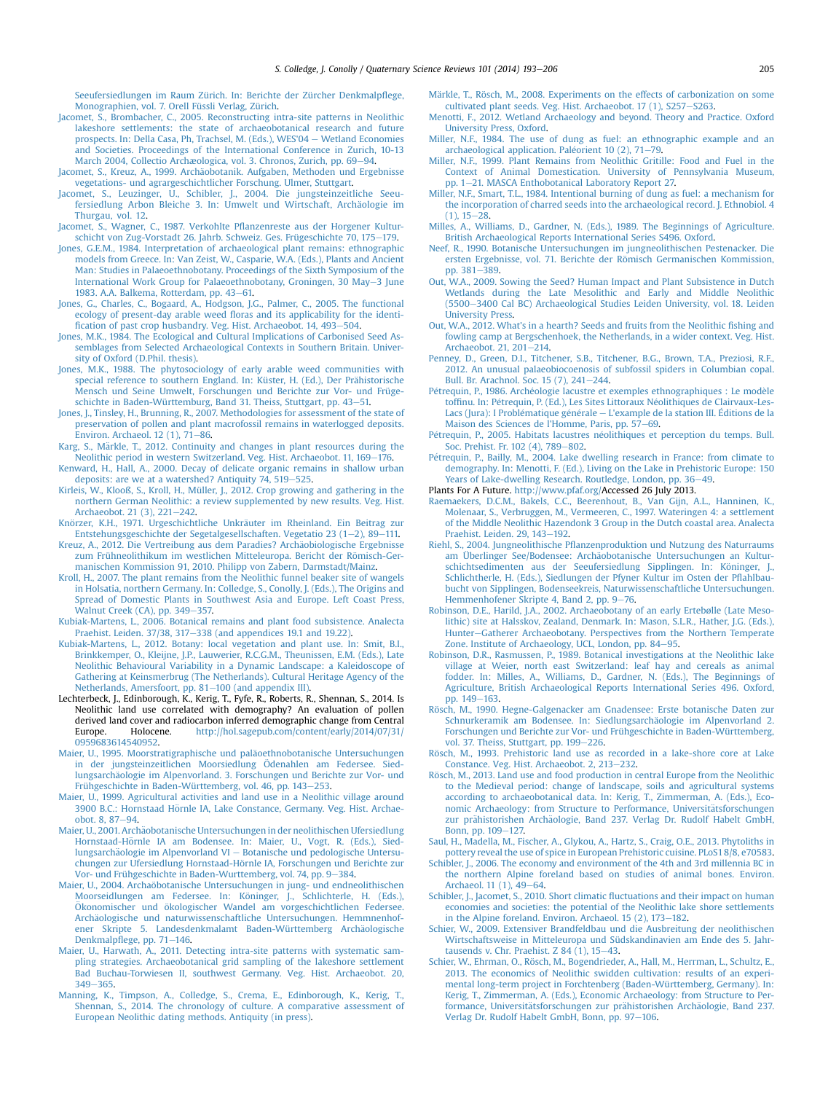<span id="page-12-0"></span>[Seeufersiedlungen im Raum Zürich. In: Berichte der Zürcher Denkmalp](http://refhub.elsevier.com/S0277-3791(14)00288-1/sref53)flege, [Monographien, vol. 7. Orell Füssli Verlag, Zürich](http://refhub.elsevier.com/S0277-3791(14)00288-1/sref53).

- [Jacomet, S., Brombacher, C., 2005. Reconstructing intra-site patterns in Neolithic](http://refhub.elsevier.com/S0277-3791(14)00288-1/sref54) [lakeshore settlements: the state of archaeobotanical research and future](http://refhub.elsevier.com/S0277-3791(14)00288-1/sref54) [prospects. In: Della Casa, Ph, Trachsel, M. \(Eds.\), WES'04](http://refhub.elsevier.com/S0277-3791(14)00288-1/sref54) - [Wetland Economies](http://refhub.elsevier.com/S0277-3791(14)00288-1/sref54) [and Societies. Proceedings of the International Conference in Zurich, 10-13](http://refhub.elsevier.com/S0277-3791(14)00288-1/sref54) [March 2004, Collectio Archæologica, vol. 3. Chronos, Zurich, pp. 69](http://refhub.elsevier.com/S0277-3791(14)00288-1/sref54)–[94](http://refhub.elsevier.com/S0277-3791(14)00288-1/sref54).
- [Jacomet, S., Kreuz, A., 1999. Arch](http://refhub.elsevier.com/S0277-3791(14)00288-1/sref55)a[obotanik. Aufgaben, Methoden und Ergebnisse](http://refhub.elsevier.com/S0277-3791(14)00288-1/sref55) [vegetations- und agrargeschichtlicher Forschung. Ulmer, Stuttgart](http://refhub.elsevier.com/S0277-3791(14)00288-1/sref55).
- [Jacomet, S., Leuzinger, U., Schibler, J., 2004. Die jungsteinzeitliche Seeu](http://refhub.elsevier.com/S0277-3791(14)00288-1/sref56)fersiedlung Arbon Bleiche 3. In: Umwelt und Wirtschaft, Archäologie im [Thurgau, vol. 12.](http://refhub.elsevier.com/S0277-3791(14)00288-1/sref56)
- [Jacomet, S., Wagner, C., 1987. Verkohlte P](http://refhub.elsevier.com/S0277-3791(14)00288-1/sref57)flanzenreste aus der Horgener Kultur[schicht von Zug-Vorstadt 26. Jahrb. Schweiz. Ges. Frügeschichte 70, 175](http://refhub.elsevier.com/S0277-3791(14)00288-1/sref57)-[179](http://refhub.elsevier.com/S0277-3791(14)00288-1/sref57).
- [Jones, G.E.M., 1984. Interpretation of archaeological plant remains: ethnographic](http://refhub.elsevier.com/S0277-3791(14)00288-1/sref58) [models from Greece. In: Van Zeist, W., Casparie, W.A. \(Eds.\), Plants and Ancient](http://refhub.elsevier.com/S0277-3791(14)00288-1/sref58) [Man: Studies in Palaeoethnobotany. Proceedings of the Sixth Symposium of the](http://refhub.elsevier.com/S0277-3791(14)00288-1/sref58) [International Work Group for Palaeoethnobotany, Groningen, 30 May](http://refhub.elsevier.com/S0277-3791(14)00288-1/sref58)-[3 June](http://refhub.elsevier.com/S0277-3791(14)00288-1/sref58) [1983. A.A. Balkema, Rotterdam, pp. 43](http://refhub.elsevier.com/S0277-3791(14)00288-1/sref58)-[61.](http://refhub.elsevier.com/S0277-3791(14)00288-1/sref58)
- [Jones, G., Charles, C., Bogaard, A., Hodgson, J.G., Palmer, C., 2005. The functional](http://refhub.elsevier.com/S0277-3791(14)00288-1/sref59) ecology of present-day arable weed fl[oras and its applicability for the identi](http://refhub.elsevier.com/S0277-3791(14)00288-1/sref59)fi[cation of past crop husbandry. Veg. Hist. Archaeobot. 14, 493](http://refhub.elsevier.com/S0277-3791(14)00288-1/sref59)-[504](http://refhub.elsevier.com/S0277-3791(14)00288-1/sref59).
- [Jones, M.K., 1984. The Ecological and Cultural Implications of Carbonised Seed As](http://refhub.elsevier.com/S0277-3791(14)00288-1/sref60)[semblages from Selected Archaeological Contexts in Southern Britain. Univer](http://refhub.elsevier.com/S0277-3791(14)00288-1/sref60)[sity of Oxford \(D.Phil. thesis\)](http://refhub.elsevier.com/S0277-3791(14)00288-1/sref60).
- [Jones, M.K., 1988. The phytosociology of early arable weed communities with](http://refhub.elsevier.com/S0277-3791(14)00288-1/sref61) [special reference to southern England. In: Küster, H. \(Ed.\), Der Pr](http://refhub.elsevier.com/S0277-3791(14)00288-1/sref61)ä[historische](http://refhub.elsevier.com/S0277-3791(14)00288-1/sref61) [Mensch und Seine Umwelt, Forschungen und Berichte zur Vor- und Früge](http://refhub.elsevier.com/S0277-3791(14)00288-1/sref61)[schichte in Baden-Württemburg, Band 31. Theiss, Stuttgart, pp. 43](http://refhub.elsevier.com/S0277-3791(14)00288-1/sref61)-[51.](http://refhub.elsevier.com/S0277-3791(14)00288-1/sref61)
- [Jones, J., Tinsley, H., Brunning, R., 2007. Methodologies for assessment of the state of](http://refhub.elsevier.com/S0277-3791(14)00288-1/sref62) [preservation of pollen and plant macrofossil remains in waterlogged deposits.](http://refhub.elsevier.com/S0277-3791(14)00288-1/sref62) Environ. Archaeol.  $12(1)$ ,  $71-86$ .
- Karg, S., Märkle, T., 2012. Continuity and changes in plant resources during the [Neolithic period in western Switzerland. Veg. Hist. Archaeobot. 11, 169](http://refhub.elsevier.com/S0277-3791(14)00288-1/sref63)-[176.](http://refhub.elsevier.com/S0277-3791(14)00288-1/sref63)
- [Kenward, H., Hall, A., 2000. Decay of delicate organic remains in shallow urban](http://refhub.elsevier.com/S0277-3791(14)00288-1/sref64) [deposits: are we at a watershed? Antiquity 74, 519](http://refhub.elsevier.com/S0277-3791(14)00288-1/sref64)-[525](http://refhub.elsevier.com/S0277-3791(14)00288-1/sref64).
- [Kirleis, W., Klooß, S., Kroll, H., Müller, J., 2012. Crop growing and gathering in the](http://refhub.elsevier.com/S0277-3791(14)00288-1/sref65) [northern German Neolithic: a review supplemented by new results. Veg. Hist.](http://refhub.elsevier.com/S0277-3791(14)00288-1/sref65) [Archaeobot. 21 \(3\), 221](http://refhub.elsevier.com/S0277-3791(14)00288-1/sref65)-[242.](http://refhub.elsevier.com/S0277-3791(14)00288-1/sref65)
- Knörzer, K.H., 1971. Urgeschichtliche Unkrä[uter im Rheinland. Ein Beitrag zur](http://refhub.elsevier.com/S0277-3791(14)00288-1/sref66) [Entstehungsgeschichte der Segetalgesellschaften. Vegetatio 23 \(1](http://refhub.elsevier.com/S0277-3791(14)00288-1/sref66)-[2\), 89](http://refhub.elsevier.com/S0277-3791(14)00288-1/sref66)-[111.](http://refhub.elsevier.com/S0277-3791(14)00288-1/sref66)
- Kreuz, A., 2012. Die Vertreibung aus dem Paradies? Archäobiologische Ergebnisse [zum Frühneolithikum im westlichen Mitteleuropa. Bericht der R](http://refhub.elsevier.com/S0277-3791(14)00288-1/sref67)ö[misch-Ger](http://refhub.elsevier.com/S0277-3791(14)00288-1/sref67) [manischen Kommission 91, 2010. Philipp von Zabern, Darmstadt/Mainz.](http://refhub.elsevier.com/S0277-3791(14)00288-1/sref67)
- [Kroll, H., 2007. The plant remains from the Neolithic funnel beaker site of wangels](http://refhub.elsevier.com/S0277-3791(14)00288-1/sref68) [in Holsatia, northern Germany. In: Colledge, S., Conolly, J. \(Eds.\), The Origins and](http://refhub.elsevier.com/S0277-3791(14)00288-1/sref68) [Spread of Domestic Plants in Southwest Asia and Europe. Left Coast Press,](http://refhub.elsevier.com/S0277-3791(14)00288-1/sref68) [Walnut Creek \(CA\), pp. 349](http://refhub.elsevier.com/S0277-3791(14)00288-1/sref68)-[357.](http://refhub.elsevier.com/S0277-3791(14)00288-1/sref68)
- [Kubiak-Martens, L., 2006. Botanical remains and plant food subsistence. Analecta](http://refhub.elsevier.com/S0277-3791(14)00288-1/sref69) [Praehist. Leiden. 37/38, 317](http://refhub.elsevier.com/S0277-3791(14)00288-1/sref69)-[338 \(and appendices 19.1 and 19.22\).](http://refhub.elsevier.com/S0277-3791(14)00288-1/sref69)
- [Kubiak-Martens, L., 2012. Botany: local vegetation and plant use. In: Smit, B.I.,](http://refhub.elsevier.com/S0277-3791(14)00288-1/sref70) [Brinkkemper, O., Kleijne, J.P., Lauwerier, R.C.G.M., Theunissen, E.M. \(Eds.\), Late](http://refhub.elsevier.com/S0277-3791(14)00288-1/sref70) [Neolithic Behavioural Variability in a Dynamic Landscape: a Kaleidoscope of](http://refhub.elsevier.com/S0277-3791(14)00288-1/sref70) [Gathering at Keinsmerbrug \(The Netherlands\). Cultural Heritage Agency of the](http://refhub.elsevier.com/S0277-3791(14)00288-1/sref70) [Netherlands, Amersfoort, pp. 81](http://refhub.elsevier.com/S0277-3791(14)00288-1/sref70)-[100 \(and appendix III\).](http://refhub.elsevier.com/S0277-3791(14)00288-1/sref70)
- Lechterbeck, J., Edinborough, K., Kerig, T., Fyfe, R., Roberts, R., Shennan, S., 2014. Is Neolithic land use correlated with demography? An evaluation of pollen derived land cover and radiocarbon inferred demographic change from Central Europe. Holocene. [http://hol.sagepub.com/content/early/2014/07/31/](http://hol.sagepub.com/content/early/2014/07/31/0959683614540952) [0959683614540952.](http://hol.sagepub.com/content/early/2014/07/31/0959683614540952)
- Maier, U., 1995. Moorstratigraphische und paläoethnobotanische Untersuchungen [in der jungsteinzeitlichen Moorsiedlung](http://refhub.elsevier.com/S0277-3791(14)00288-1/sref72) Ödenahlen am Federsee. Sied[lungsarch](http://refhub.elsevier.com/S0277-3791(14)00288-1/sref72)äologie im Alpenvorland. 3. Forschungen und Berichte zur Vor- und [Frühgeschichte in Baden-Württemberg, vol. 46, pp. 143](http://refhub.elsevier.com/S0277-3791(14)00288-1/sref72)-[253.](http://refhub.elsevier.com/S0277-3791(14)00288-1/sref72)
- [Maier, U., 1999. Agricultural activities and land use in a Neolithic village around](http://refhub.elsevier.com/S0277-3791(14)00288-1/sref73) 3900 B.C.: Hornstaad Hörnle IA, Lake Constance, Germany. Veg. Hist. Archae[obot. 8, 87](http://refhub.elsevier.com/S0277-3791(14)00288-1/sref73)-[94](http://refhub.elsevier.com/S0277-3791(14)00288-1/sref73).
- [Maier, U., 2001. Arch](http://refhub.elsevier.com/S0277-3791(14)00288-1/sref74)ä[obotanische Untersuchungen in der neolithischen Ufersiedlung](http://refhub.elsevier.com/S0277-3791(14)00288-1/sref74) Hornstaad-Hörnle IA am Bodensee. In: Maier, U., Vogt, R. (Eds.), Sied[lungsarch](http://refhub.elsevier.com/S0277-3791(14)00288-1/sref74)äologie im Alpenvorland VI – [Botanische und pedologische Untersu](http://refhub.elsevier.com/S0277-3791(14)00288-1/sref74)[chungen zur Ufersiedlung Hornstaad-H](http://refhub.elsevier.com/S0277-3791(14)00288-1/sref74)ö[rnle IA, Forschungen und Berichte zur](http://refhub.elsevier.com/S0277-3791(14)00288-1/sref74) [Vor- und Frühgeschichte in Baden-Wurttemberg, vol. 74, pp. 9](http://refhub.elsevier.com/S0277-3791(14)00288-1/sref74)-[384](http://refhub.elsevier.com/S0277-3791(14)00288-1/sref74).
- Maier, U., 2004. Archaöbotanische Untersuchungen in jung- und endneolithischen [Moorseidlungen am Federsee. In: K](http://refhub.elsevier.com/S0277-3791(14)00288-1/sref75)ö[ninger, J., Schlichterle, H. \(Eds.\),](http://refhub.elsevier.com/S0277-3791(14)00288-1/sref75) Ökonomischer und ökologischer Wandel am vorgeschichtlichen Federsee. Archäologische und naturwissenschaftliche Untersuchungen. Hemmnenhofener Skripte 5. Landesdenkmalamt Baden-Württemberg Archäologische Denkmalpfl[ege, pp. 71](http://refhub.elsevier.com/S0277-3791(14)00288-1/sref75)-[146](http://refhub.elsevier.com/S0277-3791(14)00288-1/sref75).
- [Maier, U., Harwath, A., 2011. Detecting intra-site patterns with systematic sam](http://refhub.elsevier.com/S0277-3791(14)00288-1/sref76)[pling strategies. Archaeobotanical grid sampling of the lakeshore settlement](http://refhub.elsevier.com/S0277-3791(14)00288-1/sref76) [Bad Buchau-Torwiesen II, southwest Germany. Veg. Hist. Archaeobot. 20,](http://refhub.elsevier.com/S0277-3791(14)00288-1/sref76)  $349 - 365.$  $349 - 365.$  $349 - 365.$  $349 - 365.$
- [Manning, K., Timpson, A., Colledge, S., Crema, E., Edinborough, K., Kerig, T.,](http://refhub.elsevier.com/S0277-3791(14)00288-1/sref77) [Shennan, S., 2014. The chronology of culture. A comparative assessment of](http://refhub.elsevier.com/S0277-3791(14)00288-1/sref77) [European Neolithic dating methods. Antiquity \(in press\).](http://refhub.elsevier.com/S0277-3791(14)00288-1/sref77)
- Märkle, T., Rösch, M., 2008. Experiments on the effects of carbonization on some [cultivated plant seeds. Veg. Hist. Archaeobot. 17 \(1\), S257](http://refhub.elsevier.com/S0277-3791(14)00288-1/sref78)-[S263.](http://refhub.elsevier.com/S0277-3791(14)00288-1/sref78)
- [Menotti, F., 2012. Wetland Archaeology and beyond. Theory and Practice. Oxford](http://refhub.elsevier.com/S0277-3791(14)00288-1/sref79) [University Press, Oxford.](http://refhub.elsevier.com/S0277-3791(14)00288-1/sref79)
- [Miller, N.F., 1984. The use of dung as fuel: an ethnographic example and an](http://refhub.elsevier.com/S0277-3791(14)00288-1/sref80) [archaeological application. Pal](http://refhub.elsevier.com/S0277-3791(14)00288-1/sref80)éorient  $10(2)$ ,  $71-79$  $71-79$ .
- [Miller, N.F., 1999. Plant Remains from Neolithic Gritille: Food and Fuel in the](http://refhub.elsevier.com/S0277-3791(14)00288-1/sref81) [Context of Animal Domestication. University of Pennsylvania Museum,](http://refhub.elsevier.com/S0277-3791(14)00288-1/sref81) [pp. 1](http://refhub.elsevier.com/S0277-3791(14)00288-1/sref81)-[21. MASCA Enthobotanical Laboratory Report 27.](http://refhub.elsevier.com/S0277-3791(14)00288-1/sref81)
- [Miller, N.F., Smart, T.L., 1984. Intentional burning of dung as fuel: a mechanism for](http://refhub.elsevier.com/S0277-3791(14)00288-1/sref82) [the incorporation of charred seeds into the archaeological record. J. Ethnobiol. 4](http://refhub.elsevier.com/S0277-3791(14)00288-1/sref82)  $(1), 15-28.$  $(1), 15-28.$  $(1), 15-28.$  $(1), 15-28.$
- [Milles, A., Williams, D., Gardner, N. \(Eds.\), 1989. The Beginnings of Agriculture.](http://refhub.elsevier.com/S0277-3791(14)00288-1/sref83) [British Archaeological Reports International Series S496. Oxford](http://refhub.elsevier.com/S0277-3791(14)00288-1/sref83).
- [Neef, R., 1990. Botanische Untersuchungen im jungneolithischen Pestenacker. Die](http://refhub.elsevier.com/S0277-3791(14)00288-1/sref84) ersten Ergebnisse, vol. 71. Berichte der Römisch Germanischen Kommission. [pp. 381](http://refhub.elsevier.com/S0277-3791(14)00288-1/sref84)-[389](http://refhub.elsevier.com/S0277-3791(14)00288-1/sref84).
- [Out, W.A., 2009. Sowing the Seed? Human Impact and Plant Subsistence in Dutch](http://refhub.elsevier.com/S0277-3791(14)00288-1/sref85) [Wetlands during the Late Mesolithic and Early and Middle Neolithic](http://refhub.elsevier.com/S0277-3791(14)00288-1/sref85)<br>[\(5500](http://refhub.elsevier.com/S0277-3791(14)00288-1/sref85)–3400 Cal BC) Archaeological Studies Leiden University, vol. 18. Leiden [University Press](http://refhub.elsevier.com/S0277-3791(14)00288-1/sref85).
- [Out, W.A., 2012. What's in a hearth? Seeds and fruits from the Neolithic](http://refhub.elsevier.com/S0277-3791(14)00288-1/sref86) fishing and [fowling camp at Bergschenhoek, the Netherlands, in a wider context. Veg. Hist.](http://refhub.elsevier.com/S0277-3791(14)00288-1/sref86) [Archaeobot. 21, 201](http://refhub.elsevier.com/S0277-3791(14)00288-1/sref86)-[214.](http://refhub.elsevier.com/S0277-3791(14)00288-1/sref86)
- [Penney, D., Green, D.I., Titchener, S.B., Titchener, B.G., Brown, T.A., Preziosi, R.F.,](http://refhub.elsevier.com/S0277-3791(14)00288-1/sref87) [2012. An unusual palaeobiocoenosis of subfossil spiders in Columbian copal.](http://refhub.elsevier.com/S0277-3791(14)00288-1/sref87) [Bull. Br. Arachnol. Soc. 15 \(7\), 241](http://refhub.elsevier.com/S0277-3791(14)00288-1/sref87)-[244](http://refhub.elsevier.com/S0277-3791(14)00288-1/sref87).
- [P](http://refhub.elsevier.com/S0277-3791(14)00288-1/sref88)é[trequin, P., 1986. Arch](http://refhub.elsevier.com/S0277-3791(14)00288-1/sref88)éologie lacustre et exemples ethnographiques : Le modèle toffinu. In: Pétrequin, P. (Ed.), Les Sites Littoraux Néolithiques de Clairvaux-Les-Lacs (Jura): I Problématique générale - [L'example de la station III.](http://refhub.elsevier.com/S0277-3791(14)00288-1/sref88) É[ditions de la](http://refhub.elsevier.com/S0277-3791(14)00288-1/sref88) [Maison des Sciences de l'Homme, Paris, pp. 57](http://refhub.elsevier.com/S0277-3791(14)00288-1/sref88)–[69](http://refhub.elsevier.com/S0277-3791(14)00288-1/sref88).
- [P](http://refhub.elsevier.com/S0277-3791(14)00288-1/sref89)é[trequin, P., 2005. Habitats lacustres n](http://refhub.elsevier.com/S0277-3791(14)00288-1/sref89)é[olithiques et perception du temps. Bull.](http://refhub.elsevier.com/S0277-3791(14)00288-1/sref89) [Soc. Prehist. Fr. 102 \(4\), 789](http://refhub.elsevier.com/S0277-3791(14)00288-1/sref89)-[802](http://refhub.elsevier.com/S0277-3791(14)00288-1/sref89).
- [P](http://refhub.elsevier.com/S0277-3791(14)00288-1/sref90)é[trequin, P., Bailly, M., 2004. Lake dwelling research in France: from climate to](http://refhub.elsevier.com/S0277-3791(14)00288-1/sref90) [demography. In: Menotti, F. \(Ed.\), Living on the Lake in Prehistoric Europe: 150](http://refhub.elsevier.com/S0277-3791(14)00288-1/sref90) [Years of Lake-dwelling Research. Routledge, London, pp. 36](http://refhub.elsevier.com/S0277-3791(14)00288-1/sref90)-[49.](http://refhub.elsevier.com/S0277-3791(14)00288-1/sref90)
- Plants For A Future. <http://www.pfaf.org/>Accessed 26 July 2013.
- [Raemaekers, D.C.M., Bakels, C.C., Beerenhout, B., Van Gijn, A.L., Hanninen, K.,](http://refhub.elsevier.com/S0277-3791(14)00288-1/sref91) [Molenaar, S., Verbruggen, M., Vermeeren, C., 1997. Wateringen 4: a settlement](http://refhub.elsevier.com/S0277-3791(14)00288-1/sref91) [of the Middle Neolithic Hazendonk 3 Group in the Dutch coastal area. Analecta](http://refhub.elsevier.com/S0277-3791(14)00288-1/sref91) [Praehist. Leiden. 29, 143](http://refhub.elsevier.com/S0277-3791(14)00288-1/sref91)-[192.](http://refhub.elsevier.com/S0277-3791(14)00288-1/sref91)
- Riehl, S., 2004. Jungneolithische Pfl[anzenproduktion und Nutzung des Naturraums](http://refhub.elsevier.com/S0277-3791(14)00288-1/sref92) [am Überlinger See/Bodensee: Arch](http://refhub.elsevier.com/S0277-3791(14)00288-1/sref92)ä[obotanische Untersuchungen an Kultur](http://refhub.elsevier.com/S0277-3791(14)00288-1/sref92) schichtsedimenten aus der Seeufersiedlung Sipplingen. In: Köninger, J., [Schlichtherle, H. \(Eds.\), Siedlungen der Pfyner Kultur im Osten der P](http://refhub.elsevier.com/S0277-3791(14)00288-1/sref92)flahlbau[bucht von Sipplingen, Bodenseekreis, Naturwissenschaftliche Untersuchungen.](http://refhub.elsevier.com/S0277-3791(14)00288-1/sref92) [Hemmenhofener Skripte 4, Band 2, pp. 9](http://refhub.elsevier.com/S0277-3791(14)00288-1/sref92)-[76.](http://refhub.elsevier.com/S0277-3791(14)00288-1/sref92)
- [Robinson, D.E., Harild, J.A., 2002. Archaeobotany of an early Erteb](http://refhub.elsevier.com/S0277-3791(14)00288-1/sref93)ø[lle \(Late Meso](http://refhub.elsevier.com/S0277-3791(14)00288-1/sref93)[lithic\) site at Halsskov, Zealand, Denmark. In: Mason, S.L.R., Hather, J.G. \(Eds.\),](http://refhub.elsevier.com/S0277-3791(14)00288-1/sref93) [Hunter](http://refhub.elsevier.com/S0277-3791(14)00288-1/sref93)-[Gatherer Archaeobotany. Perspectives from the Northern Temperate](http://refhub.elsevier.com/S0277-3791(14)00288-1/sref93) [Zone. Institute of Archaeology, UCL, London, pp. 84](http://refhub.elsevier.com/S0277-3791(14)00288-1/sref93)-[95.](http://refhub.elsevier.com/S0277-3791(14)00288-1/sref93)
- [Robinson, D.R., Rasmussen, P., 1989. Botanical investigations at the Neolithic lake](http://refhub.elsevier.com/S0277-3791(14)00288-1/sref94) [village at Weier, north east Switzerland: leaf hay and cereals as animal](http://refhub.elsevier.com/S0277-3791(14)00288-1/sref94) [fodder. In: Milles, A., Williams, D., Gardner, N. \(Eds.\), The Beginnings of](http://refhub.elsevier.com/S0277-3791(14)00288-1/sref94) [Agriculture, British Archaeological Reports International Series 496. Oxford,](http://refhub.elsevier.com/S0277-3791(14)00288-1/sref94) [pp. 149](http://refhub.elsevier.com/S0277-3791(14)00288-1/sref94)-[163](http://refhub.elsevier.com/S0277-3791(14)00288-1/sref94).
- Rösch, M., 1990. Hegne-Galgenacker am Gnadensee: Erste botanische Daten zur [Schnurkeramik am Bodensee. In: Siedlungsarch](http://refhub.elsevier.com/S0277-3791(14)00288-1/sref95)ä[ologie im Alpenvorland 2.](http://refhub.elsevier.com/S0277-3791(14)00288-1/sref95) [Forschungen und Berichte zur Vor- und Frühgeschichte in Baden-Württemberg,](http://refhub.elsevier.com/S0277-3791(14)00288-1/sref95) [vol. 37. Theiss, Stuttgart, pp. 199](http://refhub.elsevier.com/S0277-3791(14)00288-1/sref95)-[226](http://refhub.elsevier.com/S0277-3791(14)00288-1/sref95).
- Rösch, M., 1993. Prehistoric land use as recorded in a lake-shore core at Lake [Constance. Veg. Hist. Archaeobot. 2, 213](http://refhub.elsevier.com/S0277-3791(14)00288-1/sref96)-[232.](http://refhub.elsevier.com/S0277-3791(14)00288-1/sref96)
- Rösch, M., 2013. Land use and food production in central Europe from the Neolithic [to the Medieval period: change of landscape, soils and agricultural systems](http://refhub.elsevier.com/S0277-3791(14)00288-1/sref97) [according to archaeobotanical data. In: Kerig, T., Zimmerman, A. \(Eds.\), Eco](http://refhub.elsevier.com/S0277-3791(14)00288-1/sref97)[nomic Archaeology: from Structure to Performance, Universit](http://refhub.elsevier.com/S0277-3791(14)00288-1/sref97)ä[tsforschungen](http://refhub.elsevier.com/S0277-3791(14)00288-1/sref97) [zur pr](http://refhub.elsevier.com/S0277-3791(14)00288-1/sref97)ä[historishen Arch](http://refhub.elsevier.com/S0277-3791(14)00288-1/sref97)äologie, Band 237. Verlag Dr. Rudolf Habelt GmbH [Bonn, pp. 109](http://refhub.elsevier.com/S0277-3791(14)00288-1/sref97)-[127.](http://refhub.elsevier.com/S0277-3791(14)00288-1/sref97)
- [Saul, H., Madella, M., Fischer, A., Glykou, A., Hartz, S., Craig, O.E., 2013. Phytoliths in](http://refhub.elsevier.com/S0277-3791(14)00288-1/sref98) [pottery reveal the use of spice in European Prehistoric cuisine. PLoS18/8, e70583](http://refhub.elsevier.com/S0277-3791(14)00288-1/sref98).
- [Schibler, J., 2006. The economy and environment of the 4th and 3rd millennia BC in](http://refhub.elsevier.com/S0277-3791(14)00288-1/sref99) [the northern Alpine foreland based on studies of animal bones. Environ.](http://refhub.elsevier.com/S0277-3791(14)00288-1/sref99) [Archaeol. 11 \(1\), 49](http://refhub.elsevier.com/S0277-3791(14)00288-1/sref99)-[64](http://refhub.elsevier.com/S0277-3791(14)00288-1/sref99).
- [Schibler, J., Jacomet, S., 2010. Short climatic](http://refhub.elsevier.com/S0277-3791(14)00288-1/sref100) fluctuations and their impact on human [economies and societies: the potential of the Neolithic lake shore settlements](http://refhub.elsevier.com/S0277-3791(14)00288-1/sref100) in the Alpine foreland. Environ. Archaeol.  $15$  (2),  $173-182$  $173-182$ .
- [Schier, W., 2009. Extensiver Brandfeldbau und die Ausbreitung der neolithischen](http://refhub.elsevier.com/S0277-3791(14)00288-1/sref101) [Wirtschaftsweise in Mitteleuropa und Südskandinavien am Ende des 5. Jahr](http://refhub.elsevier.com/S0277-3791(14)00288-1/sref101)tausends v. Chr. Praehist. Z 84 $(1)$ , 15-[43](http://refhub.elsevier.com/S0277-3791(14)00288-1/sref101).
- [Schier, W., Ehrman, O., R](http://refhub.elsevier.com/S0277-3791(14)00288-1/sref102)ö[sch, M., Bogendrieder, A., Hall, M., Herrman, L., Schultz, E.,](http://refhub.elsevier.com/S0277-3791(14)00288-1/sref102) [2013. The economics of Neolithic swidden cultivation: results of an experi](http://refhub.elsevier.com/S0277-3791(14)00288-1/sref102)[mental long-term project in Forchtenberg \(Baden-Württemberg, Germany\). In:](http://refhub.elsevier.com/S0277-3791(14)00288-1/sref102) [Kerig, T., Zimmerman, A. \(Eds.\), Economic Archaeology: from Structure to Per](http://refhub.elsevier.com/S0277-3791(14)00288-1/sref102)[formance, Universit](http://refhub.elsevier.com/S0277-3791(14)00288-1/sref102)ätsforschungen zur prähistorishen Archä[ologie, Band 237.](http://refhub.elsevier.com/S0277-3791(14)00288-1/sref102) [Verlag Dr. Rudolf Habelt GmbH, Bonn, pp. 97](http://refhub.elsevier.com/S0277-3791(14)00288-1/sref102)-[106](http://refhub.elsevier.com/S0277-3791(14)00288-1/sref102).